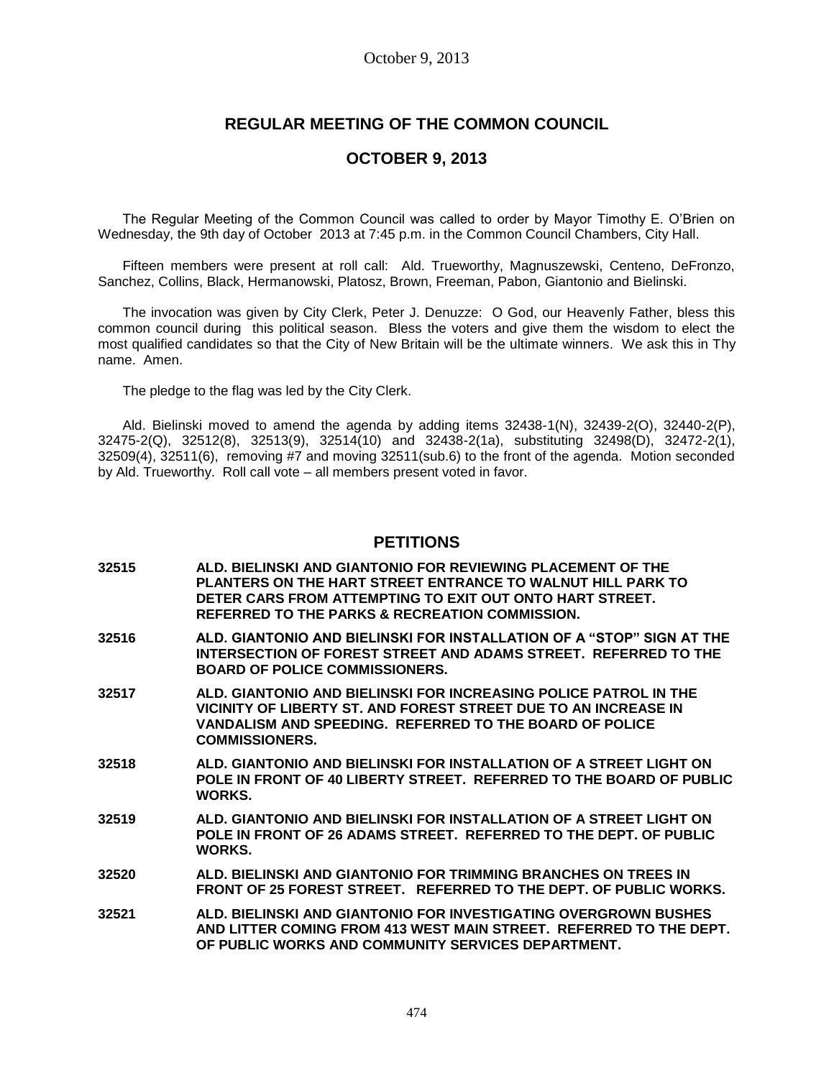# **REGULAR MEETING OF THE COMMON COUNCIL**

## **OCTOBER 9, 2013**

The Regular Meeting of the Common Council was called to order by Mayor Timothy E. O'Brien on Wednesday, the 9th day of October 2013 at 7:45 p.m. in the Common Council Chambers, City Hall.

Fifteen members were present at roll call: Ald. Trueworthy, Magnuszewski, Centeno, DeFronzo, Sanchez, Collins, Black, Hermanowski, Platosz, Brown, Freeman, Pabon, Giantonio and Bielinski.

The invocation was given by City Clerk, Peter J. Denuzze: O God, our Heavenly Father, bless this common council during this political season. Bless the voters and give them the wisdom to elect the most qualified candidates so that the City of New Britain will be the ultimate winners. We ask this in Thy name. Amen.

The pledge to the flag was led by the City Clerk.

Ald. Bielinski moved to amend the agenda by adding items 32438-1(N), 32439-2(O), 32440-2(P), 32475-2(Q), 32512(8), 32513(9), 32514(10) and 32438-2(1a), substituting 32498(D), 32472-2(1), 32509(4), 32511(6), removing #7 and moving 32511(sub.6) to the front of the agenda. Motion seconded by Ald. Trueworthy. Roll call vote – all members present voted in favor.

### **PETITIONS**

- **32515 ALD. BIELINSKI AND GIANTONIO FOR REVIEWING PLACEMENT OF THE PLANTERS ON THE HART STREET ENTRANCE TO WALNUT HILL PARK TO DETER CARS FROM ATTEMPTING TO EXIT OUT ONTO HART STREET. REFERRED TO THE PARKS & RECREATION COMMISSION.**
- **32516 ALD. GIANTONIO AND BIELINSKI FOR INSTALLATION OF A "STOP" SIGN AT THE INTERSECTION OF FOREST STREET AND ADAMS STREET. REFERRED TO THE BOARD OF POLICE COMMISSIONERS.**
- **32517 ALD. GIANTONIO AND BIELINSKI FOR INCREASING POLICE PATROL IN THE VICINITY OF LIBERTY ST. AND FOREST STREET DUE TO AN INCREASE IN VANDALISM AND SPEEDING. REFERRED TO THE BOARD OF POLICE COMMISSIONERS.**
- **32518 ALD. GIANTONIO AND BIELINSKI FOR INSTALLATION OF A STREET LIGHT ON POLE IN FRONT OF 40 LIBERTY STREET. REFERRED TO THE BOARD OF PUBLIC WORKS.**
- **32519 ALD. GIANTONIO AND BIELINSKI FOR INSTALLATION OF A STREET LIGHT ON POLE IN FRONT OF 26 ADAMS STREET. REFERRED TO THE DEPT. OF PUBLIC WORKS.**
- **32520 ALD. BIELINSKI AND GIANTONIO FOR TRIMMING BRANCHES ON TREES IN FRONT OF 25 FOREST STREET. REFERRED TO THE DEPT. OF PUBLIC WORKS.**
- **32521 ALD. BIELINSKI AND GIANTONIO FOR INVESTIGATING OVERGROWN BUSHES AND LITTER COMING FROM 413 WEST MAIN STREET. REFERRED TO THE DEPT. OF PUBLIC WORKS AND COMMUNITY SERVICES DEPARTMENT.**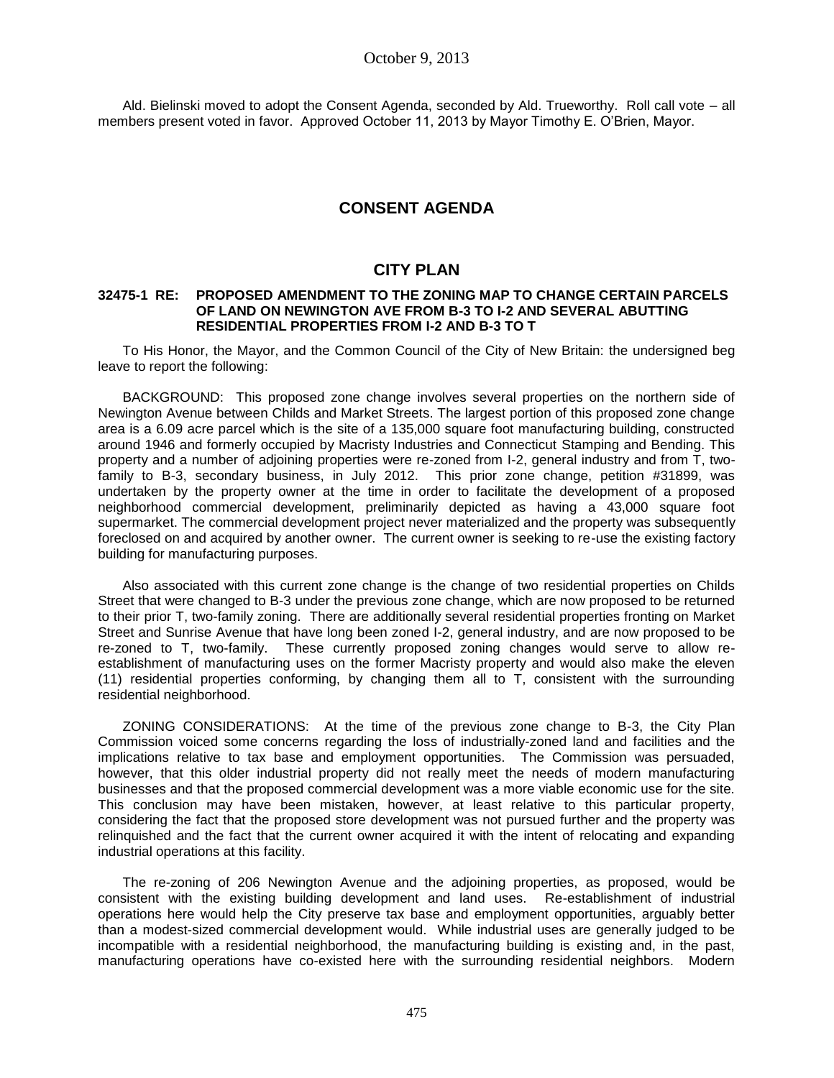Ald. Bielinski moved to adopt the Consent Agenda, seconded by Ald. Trueworthy. Roll call vote – all members present voted in favor. Approved October 11, 2013 by Mayor Timothy E. O'Brien, Mayor.

# **CONSENT AGENDA**

# **CITY PLAN**

### **32475-1 RE: PROPOSED AMENDMENT TO THE ZONING MAP TO CHANGE CERTAIN PARCELS OF LAND ON NEWINGTON AVE FROM B-3 TO I-2 AND SEVERAL ABUTTING RESIDENTIAL PROPERTIES FROM I-2 AND B-3 TO T**

To His Honor, the Mayor, and the Common Council of the City of New Britain: the undersigned beg leave to report the following:

BACKGROUND: This proposed zone change involves several properties on the northern side of Newington Avenue between Childs and Market Streets. The largest portion of this proposed zone change area is a 6.09 acre parcel which is the site of a 135,000 square foot manufacturing building, constructed around 1946 and formerly occupied by Macristy Industries and Connecticut Stamping and Bending. This property and a number of adjoining properties were re-zoned from I-2, general industry and from T, twofamily to B-3, secondary business, in July 2012. This prior zone change, petition #31899, was undertaken by the property owner at the time in order to facilitate the development of a proposed neighborhood commercial development, preliminarily depicted as having a 43,000 square foot supermarket. The commercial development project never materialized and the property was subsequently foreclosed on and acquired by another owner. The current owner is seeking to re-use the existing factory building for manufacturing purposes.

Also associated with this current zone change is the change of two residential properties on Childs Street that were changed to B-3 under the previous zone change, which are now proposed to be returned to their prior T, two-family zoning. There are additionally several residential properties fronting on Market Street and Sunrise Avenue that have long been zoned I-2, general industry, and are now proposed to be re-zoned to T, two-family. These currently proposed zoning changes would serve to allow reestablishment of manufacturing uses on the former Macristy property and would also make the eleven (11) residential properties conforming, by changing them all to T, consistent with the surrounding residential neighborhood.

ZONING CONSIDERATIONS: At the time of the previous zone change to B-3, the City Plan Commission voiced some concerns regarding the loss of industrially-zoned land and facilities and the implications relative to tax base and employment opportunities. The Commission was persuaded, however, that this older industrial property did not really meet the needs of modern manufacturing businesses and that the proposed commercial development was a more viable economic use for the site. This conclusion may have been mistaken, however, at least relative to this particular property, considering the fact that the proposed store development was not pursued further and the property was relinquished and the fact that the current owner acquired it with the intent of relocating and expanding industrial operations at this facility.

The re-zoning of 206 Newington Avenue and the adjoining properties, as proposed, would be consistent with the existing building development and land uses. Re-establishment of industrial operations here would help the City preserve tax base and employment opportunities, arguably better than a modest-sized commercial development would. While industrial uses are generally judged to be incompatible with a residential neighborhood, the manufacturing building is existing and, in the past, manufacturing operations have co-existed here with the surrounding residential neighbors. Modern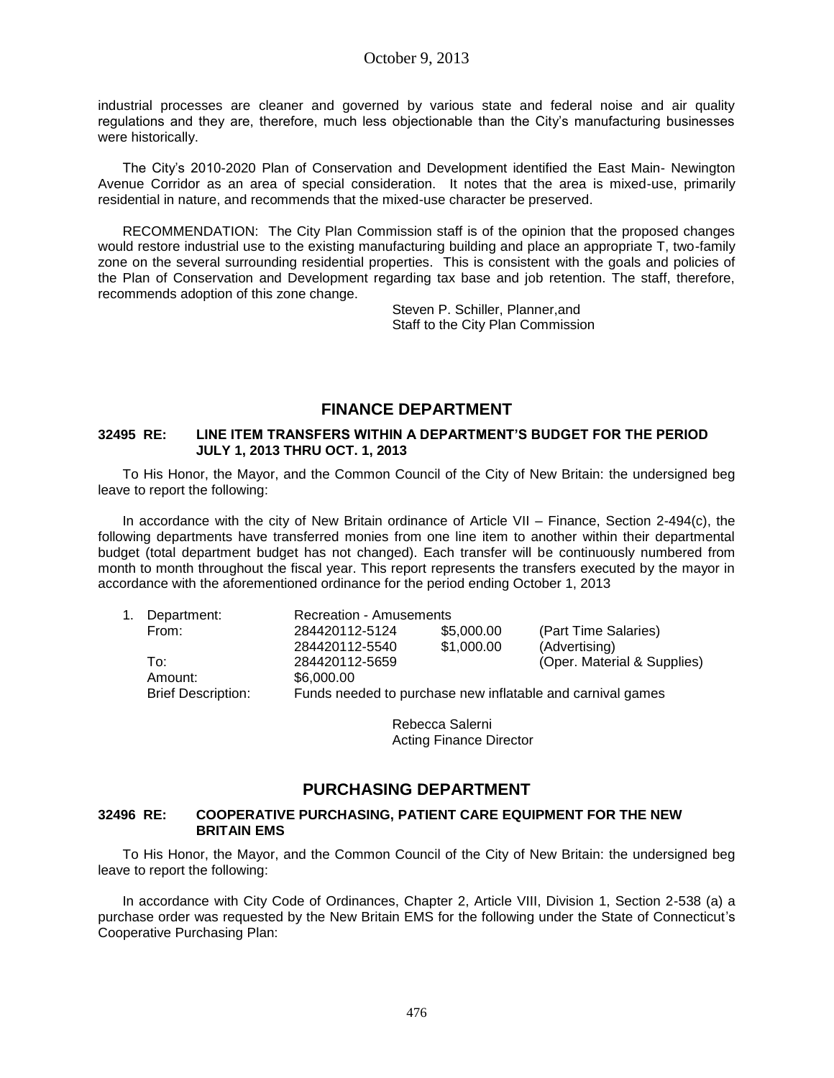industrial processes are cleaner and governed by various state and federal noise and air quality regulations and they are, therefore, much less objectionable than the City's manufacturing businesses were historically.

The City's 2010-2020 Plan of Conservation and Development identified the East Main- Newington Avenue Corridor as an area of special consideration. It notes that the area is mixed-use, primarily residential in nature, and recommends that the mixed-use character be preserved.

RECOMMENDATION: The City Plan Commission staff is of the opinion that the proposed changes would restore industrial use to the existing manufacturing building and place an appropriate T, two-family zone on the several surrounding residential properties. This is consistent with the goals and policies of the Plan of Conservation and Development regarding tax base and job retention. The staff, therefore, recommends adoption of this zone change.

> Steven P. Schiller, Planner,and Staff to the City Plan Commission

## **FINANCE DEPARTMENT**

### **32495 RE: LINE ITEM TRANSFERS WITHIN A DEPARTMENT'S BUDGET FOR THE PERIOD JULY 1, 2013 THRU OCT. 1, 2013**

To His Honor, the Mayor, and the Common Council of the City of New Britain: the undersigned beg leave to report the following:

In accordance with the city of New Britain ordinance of Article VII – Finance, Section 2-494(c), the following departments have transferred monies from one line item to another within their departmental budget (total department budget has not changed). Each transfer will be continuously numbered from month to month throughout the fiscal year. This report represents the transfers executed by the mayor in accordance with the aforementioned ordinance for the period ending October 1, 2013

| 1. | Department:               | Recreation - Amusements                                    |            |                             |  |
|----|---------------------------|------------------------------------------------------------|------------|-----------------------------|--|
|    | From:                     | 284420112-5124                                             | \$5,000.00 | (Part Time Salaries)        |  |
|    |                           | 284420112-5540                                             | \$1,000.00 | (Advertising)               |  |
|    | To:                       | 284420112-5659                                             |            | (Oper. Material & Supplies) |  |
|    | Amount:                   | \$6,000.00                                                 |            |                             |  |
|    | <b>Brief Description:</b> | Funds needed to purchase new inflatable and carnival games |            |                             |  |

Rebecca Salerni Acting Finance Director

# **PURCHASING DEPARTMENT**

### **32496 RE: COOPERATIVE PURCHASING, PATIENT CARE EQUIPMENT FOR THE NEW BRITAIN EMS**

To His Honor, the Mayor, and the Common Council of the City of New Britain: the undersigned beg leave to report the following:

In accordance with City Code of Ordinances, Chapter 2, Article VIII, Division 1, Section 2-538 (a) a purchase order was requested by the New Britain EMS for the following under the State of Connecticut's Cooperative Purchasing Plan: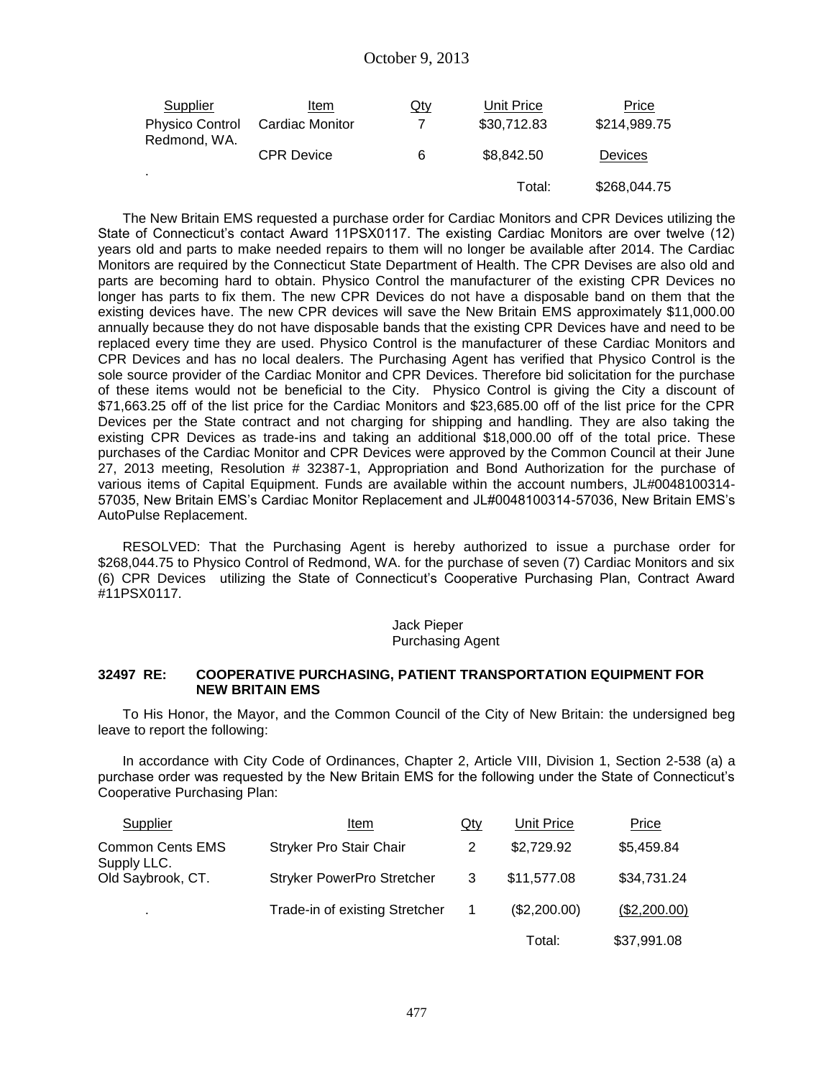| <b>Supplier</b>                        | Item              | $Q$ ty | Unit Price  | Price          |
|----------------------------------------|-------------------|--------|-------------|----------------|
| <b>Physico Control</b><br>Redmond, WA. | Cardiac Monitor   |        | \$30,712.83 | \$214,989.75   |
|                                        | <b>CPR Device</b> | -6     | \$8,842.50  | <b>Devices</b> |
| ۰                                      |                   |        | Total:      | \$268,044.75   |

The New Britain EMS requested a purchase order for Cardiac Monitors and CPR Devices utilizing the State of Connecticut's contact Award 11PSX0117. The existing Cardiac Monitors are over twelve (12) years old and parts to make needed repairs to them will no longer be available after 2014. The Cardiac Monitors are required by the Connecticut State Department of Health. The CPR Devises are also old and parts are becoming hard to obtain. Physico Control the manufacturer of the existing CPR Devices no longer has parts to fix them. The new CPR Devices do not have a disposable band on them that the existing devices have. The new CPR devices will save the New Britain EMS approximately \$11,000.00 annually because they do not have disposable bands that the existing CPR Devices have and need to be replaced every time they are used. Physico Control is the manufacturer of these Cardiac Monitors and CPR Devices and has no local dealers. The Purchasing Agent has verified that Physico Control is the sole source provider of the Cardiac Monitor and CPR Devices. Therefore bid solicitation for the purchase of these items would not be beneficial to the City. Physico Control is giving the City a discount of \$71,663.25 off of the list price for the Cardiac Monitors and \$23,685.00 off of the list price for the CPR Devices per the State contract and not charging for shipping and handling. They are also taking the existing CPR Devices as trade-ins and taking an additional \$18,000.00 off of the total price. These purchases of the Cardiac Monitor and CPR Devices were approved by the Common Council at their June 27, 2013 meeting, Resolution # 32387-1, Appropriation and Bond Authorization for the purchase of various items of Capital Equipment. Funds are available within the account numbers, JL#0048100314- 57035, New Britain EMS's Cardiac Monitor Replacement and JL#0048100314-57036, New Britain EMS's AutoPulse Replacement.

RESOLVED: That the Purchasing Agent is hereby authorized to issue a purchase order for \$268,044.75 to Physico Control of Redmond, WA. for the purchase of seven (7) Cardiac Monitors and six (6) CPR Devices utilizing the State of Connecticut's Cooperative Purchasing Plan, Contract Award #11PSX0117.

#### Jack Pieper Purchasing Agent

### **32497 RE: COOPERATIVE PURCHASING, PATIENT TRANSPORTATION EQUIPMENT FOR NEW BRITAIN EMS**

To His Honor, the Mayor, and the Common Council of the City of New Britain: the undersigned beg leave to report the following:

In accordance with City Code of Ordinances, Chapter 2, Article VIII, Division 1, Section 2-538 (a) a purchase order was requested by the New Britain EMS for the following under the State of Connecticut's Cooperative Purchasing Plan:

| Supplier                               | Item                              | Qty | Unit Price   | Price        |
|----------------------------------------|-----------------------------------|-----|--------------|--------------|
| <b>Common Cents EMS</b><br>Supply LLC. | <b>Stryker Pro Stair Chair</b>    |     | \$2,729.92   | \$5,459.84   |
| Old Saybrook, CT.                      | <b>Stryker PowerPro Stretcher</b> | 3   | \$11,577.08  | \$34,731.24  |
| $\blacksquare$                         | Trade-in of existing Stretcher    |     | (\$2,200.00) | (\$2,200.00) |
|                                        |                                   |     | Total:       | \$37,991.08  |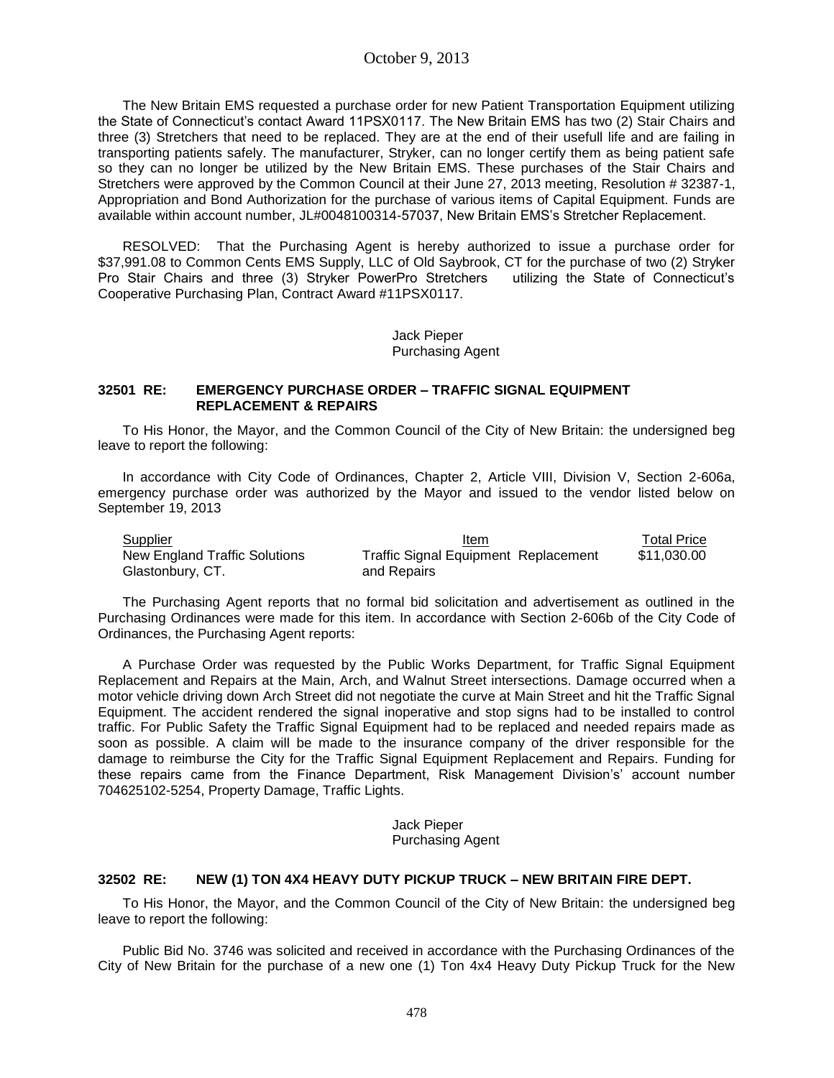The New Britain EMS requested a purchase order for new Patient Transportation Equipment utilizing the State of Connecticut's contact Award 11PSX0117. The New Britain EMS has two (2) Stair Chairs and three (3) Stretchers that need to be replaced. They are at the end of their usefull life and are failing in transporting patients safely. The manufacturer, Stryker, can no longer certify them as being patient safe so they can no longer be utilized by the New Britain EMS. These purchases of the Stair Chairs and Stretchers were approved by the Common Council at their June 27, 2013 meeting, Resolution # 32387-1, Appropriation and Bond Authorization for the purchase of various items of Capital Equipment. Funds are available within account number, JL#0048100314-57037, New Britain EMS's Stretcher Replacement.

RESOLVED: That the Purchasing Agent is hereby authorized to issue a purchase order for \$37,991.08 to Common Cents EMS Supply, LLC of Old Saybrook, CT for the purchase of two (2) Stryker Pro Stair Chairs and three (3) Stryker PowerPro Stretchers utilizing the State of Connecticut's Cooperative Purchasing Plan, Contract Award #11PSX0117.

> Jack Pieper Purchasing Agent

#### **32501 RE: EMERGENCY PURCHASE ORDER – TRAFFIC SIGNAL EQUIPMENT REPLACEMENT & REPAIRS**

To His Honor, the Mayor, and the Common Council of the City of New Britain: the undersigned beg leave to report the following:

In accordance with City Code of Ordinances, Chapter 2, Article VIII, Division V, Section 2-606a, emergency purchase order was authorized by the Mayor and issued to the vendor listed below on September 19, 2013

| Supplier                      | Item                                        | <b>Total Price</b> |
|-------------------------------|---------------------------------------------|--------------------|
| New England Traffic Solutions | <b>Traffic Signal Equipment Replacement</b> | \$11.030.00        |
| Glastonbury, CT.              | and Repairs                                 |                    |

The Purchasing Agent reports that no formal bid solicitation and advertisement as outlined in the Purchasing Ordinances were made for this item. In accordance with Section 2-606b of the City Code of Ordinances, the Purchasing Agent reports:

A Purchase Order was requested by the Public Works Department, for Traffic Signal Equipment Replacement and Repairs at the Main, Arch, and Walnut Street intersections. Damage occurred when a motor vehicle driving down Arch Street did not negotiate the curve at Main Street and hit the Traffic Signal Equipment. The accident rendered the signal inoperative and stop signs had to be installed to control traffic. For Public Safety the Traffic Signal Equipment had to be replaced and needed repairs made as soon as possible. A claim will be made to the insurance company of the driver responsible for the damage to reimburse the City for the Traffic Signal Equipment Replacement and Repairs. Funding for these repairs came from the Finance Department, Risk Management Division's' account number 704625102-5254, Property Damage, Traffic Lights.

> Jack Pieper Purchasing Agent

### **32502 RE: NEW (1) TON 4X4 HEAVY DUTY PICKUP TRUCK – NEW BRITAIN FIRE DEPT.**

To His Honor, the Mayor, and the Common Council of the City of New Britain: the undersigned beg leave to report the following:

Public Bid No. 3746 was solicited and received in accordance with the Purchasing Ordinances of the City of New Britain for the purchase of a new one (1) Ton 4x4 Heavy Duty Pickup Truck for the New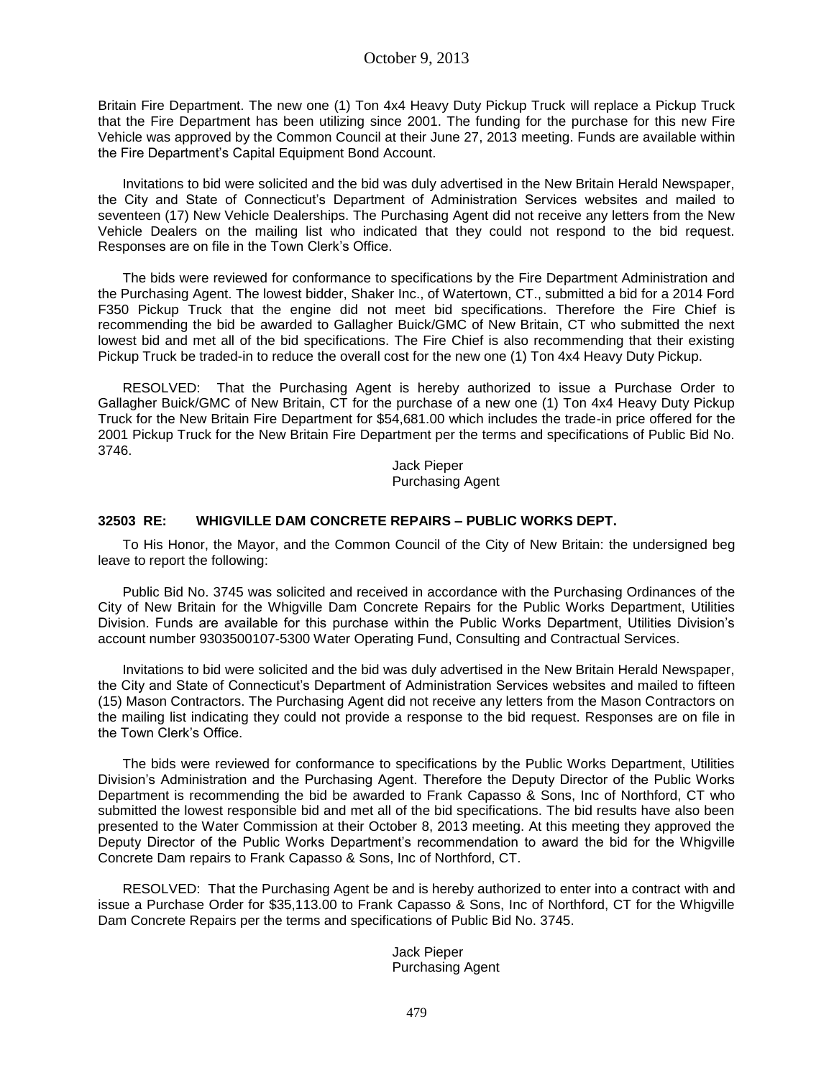Britain Fire Department. The new one (1) Ton 4x4 Heavy Duty Pickup Truck will replace a Pickup Truck that the Fire Department has been utilizing since 2001. The funding for the purchase for this new Fire Vehicle was approved by the Common Council at their June 27, 2013 meeting. Funds are available within the Fire Department's Capital Equipment Bond Account.

Invitations to bid were solicited and the bid was duly advertised in the New Britain Herald Newspaper, the City and State of Connecticut's Department of Administration Services websites and mailed to seventeen (17) New Vehicle Dealerships. The Purchasing Agent did not receive any letters from the New Vehicle Dealers on the mailing list who indicated that they could not respond to the bid request. Responses are on file in the Town Clerk's Office.

The bids were reviewed for conformance to specifications by the Fire Department Administration and the Purchasing Agent. The lowest bidder, Shaker Inc., of Watertown, CT., submitted a bid for a 2014 Ford F350 Pickup Truck that the engine did not meet bid specifications. Therefore the Fire Chief is recommending the bid be awarded to Gallagher Buick/GMC of New Britain, CT who submitted the next lowest bid and met all of the bid specifications. The Fire Chief is also recommending that their existing Pickup Truck be traded-in to reduce the overall cost for the new one (1) Ton 4x4 Heavy Duty Pickup.

RESOLVED: That the Purchasing Agent is hereby authorized to issue a Purchase Order to Gallagher Buick/GMC of New Britain, CT for the purchase of a new one (1) Ton 4x4 Heavy Duty Pickup Truck for the New Britain Fire Department for \$54,681.00 which includes the trade-in price offered for the 2001 Pickup Truck for the New Britain Fire Department per the terms and specifications of Public Bid No. 3746.

> Jack Pieper Purchasing Agent

### **32503 RE: WHIGVILLE DAM CONCRETE REPAIRS – PUBLIC WORKS DEPT.**

To His Honor, the Mayor, and the Common Council of the City of New Britain: the undersigned beg leave to report the following:

Public Bid No. 3745 was solicited and received in accordance with the Purchasing Ordinances of the City of New Britain for the Whigville Dam Concrete Repairs for the Public Works Department, Utilities Division. Funds are available for this purchase within the Public Works Department, Utilities Division's account number 9303500107-5300 Water Operating Fund, Consulting and Contractual Services.

Invitations to bid were solicited and the bid was duly advertised in the New Britain Herald Newspaper, the City and State of Connecticut's Department of Administration Services websites and mailed to fifteen (15) Mason Contractors. The Purchasing Agent did not receive any letters from the Mason Contractors on the mailing list indicating they could not provide a response to the bid request. Responses are on file in the Town Clerk's Office.

The bids were reviewed for conformance to specifications by the Public Works Department, Utilities Division's Administration and the Purchasing Agent. Therefore the Deputy Director of the Public Works Department is recommending the bid be awarded to Frank Capasso & Sons, Inc of Northford, CT who submitted the lowest responsible bid and met all of the bid specifications. The bid results have also been presented to the Water Commission at their October 8, 2013 meeting. At this meeting they approved the Deputy Director of the Public Works Department's recommendation to award the bid for the Whigville Concrete Dam repairs to Frank Capasso & Sons, Inc of Northford, CT.

RESOLVED: That the Purchasing Agent be and is hereby authorized to enter into a contract with and issue a Purchase Order for \$35,113.00 to Frank Capasso & Sons, Inc of Northford, CT for the Whigville Dam Concrete Repairs per the terms and specifications of Public Bid No. 3745.

### Jack Pieper Purchasing Agent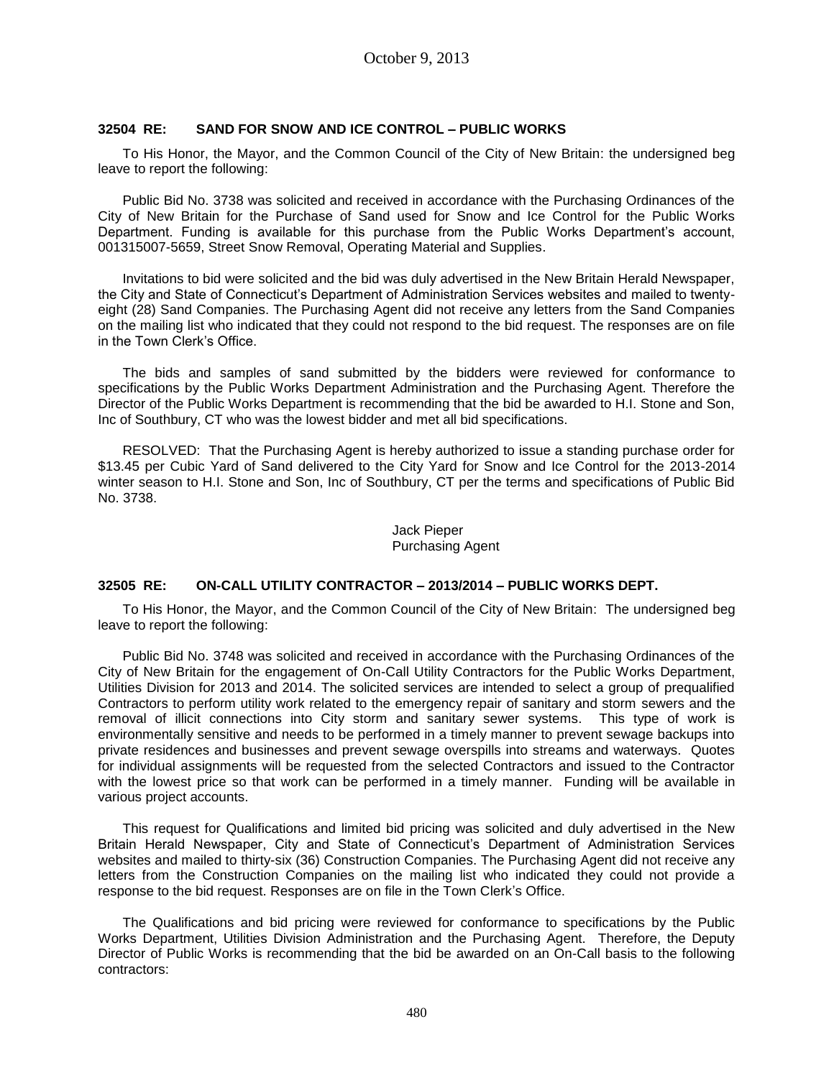### **32504 RE: SAND FOR SNOW AND ICE CONTROL – PUBLIC WORKS**

To His Honor, the Mayor, and the Common Council of the City of New Britain: the undersigned beg leave to report the following:

Public Bid No. 3738 was solicited and received in accordance with the Purchasing Ordinances of the City of New Britain for the Purchase of Sand used for Snow and Ice Control for the Public Works Department. Funding is available for this purchase from the Public Works Department's account, 001315007-5659, Street Snow Removal, Operating Material and Supplies.

Invitations to bid were solicited and the bid was duly advertised in the New Britain Herald Newspaper, the City and State of Connecticut's Department of Administration Services websites and mailed to twentyeight (28) Sand Companies. The Purchasing Agent did not receive any letters from the Sand Companies on the mailing list who indicated that they could not respond to the bid request. The responses are on file in the Town Clerk's Office.

The bids and samples of sand submitted by the bidders were reviewed for conformance to specifications by the Public Works Department Administration and the Purchasing Agent. Therefore the Director of the Public Works Department is recommending that the bid be awarded to H.I. Stone and Son, Inc of Southbury, CT who was the lowest bidder and met all bid specifications.

RESOLVED: That the Purchasing Agent is hereby authorized to issue a standing purchase order for \$13.45 per Cubic Yard of Sand delivered to the City Yard for Snow and Ice Control for the 2013-2014 winter season to H.I. Stone and Son, Inc of Southbury, CT per the terms and specifications of Public Bid No. 3738.

### Jack Pieper Purchasing Agent

### **32505 RE: ON-CALL UTILITY CONTRACTOR – 2013/2014 – PUBLIC WORKS DEPT.**

To His Honor, the Mayor, and the Common Council of the City of New Britain: The undersigned beg leave to report the following:

Public Bid No. 3748 was solicited and received in accordance with the Purchasing Ordinances of the City of New Britain for the engagement of On-Call Utility Contractors for the Public Works Department, Utilities Division for 2013 and 2014. The solicited services are intended to select a group of prequalified Contractors to perform utility work related to the emergency repair of sanitary and storm sewers and the removal of illicit connections into City storm and sanitary sewer systems. This type of work is environmentally sensitive and needs to be performed in a timely manner to prevent sewage backups into private residences and businesses and prevent sewage overspills into streams and waterways. Quotes for individual assignments will be requested from the selected Contractors and issued to the Contractor with the lowest price so that work can be performed in a timely manner. Funding will be available in various project accounts.

This request for Qualifications and limited bid pricing was solicited and duly advertised in the New Britain Herald Newspaper, City and State of Connecticut's Department of Administration Services websites and mailed to thirty-six (36) Construction Companies. The Purchasing Agent did not receive any letters from the Construction Companies on the mailing list who indicated they could not provide a response to the bid request. Responses are on file in the Town Clerk's Office.

The Qualifications and bid pricing were reviewed for conformance to specifications by the Public Works Department, Utilities Division Administration and the Purchasing Agent. Therefore, the Deputy Director of Public Works is recommending that the bid be awarded on an On-Call basis to the following contractors: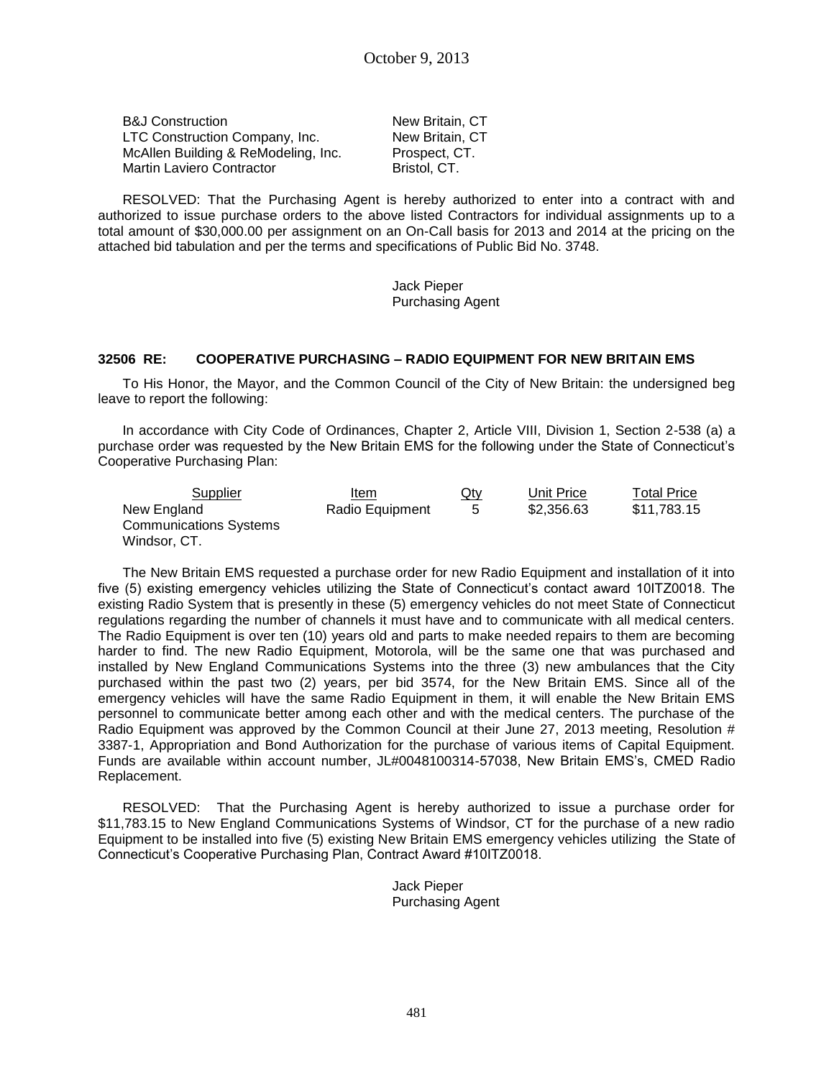B&J Construction New Britain, CT LTC Construction Company, Inc. New Britain, CT McAllen Building & ReModeling, Inc. Prospect, CT. Martin Laviero Contractor **Bristol**, CT.

RESOLVED: That the Purchasing Agent is hereby authorized to enter into a contract with and authorized to issue purchase orders to the above listed Contractors for individual assignments up to a total amount of \$30,000.00 per assignment on an On-Call basis for 2013 and 2014 at the pricing on the attached bid tabulation and per the terms and specifications of Public Bid No. 3748.

> Jack Pieper Purchasing Agent

### **32506 RE: COOPERATIVE PURCHASING – RADIO EQUIPMENT FOR NEW BRITAIN EMS**

To His Honor, the Mayor, and the Common Council of the City of New Britain: the undersigned beg leave to report the following:

In accordance with City Code of Ordinances, Chapter 2, Article VIII, Division 1, Section 2-538 (a) a purchase order was requested by the New Britain EMS for the following under the State of Connecticut's Cooperative Purchasing Plan:

| Supplier                      | Item            | Qty | Unit Price | Total Price |
|-------------------------------|-----------------|-----|------------|-------------|
| New England                   | Radio Equipment | 5   | \$2,356.63 | \$11,783.15 |
| <b>Communications Systems</b> |                 |     |            |             |
| Windsor, CT.                  |                 |     |            |             |

The New Britain EMS requested a purchase order for new Radio Equipment and installation of it into five (5) existing emergency vehicles utilizing the State of Connecticut's contact award 10ITZ0018. The existing Radio System that is presently in these (5) emergency vehicles do not meet State of Connecticut regulations regarding the number of channels it must have and to communicate with all medical centers. The Radio Equipment is over ten (10) years old and parts to make needed repairs to them are becoming harder to find. The new Radio Equipment, Motorola, will be the same one that was purchased and installed by New England Communications Systems into the three (3) new ambulances that the City purchased within the past two (2) years, per bid 3574, for the New Britain EMS. Since all of the emergency vehicles will have the same Radio Equipment in them, it will enable the New Britain EMS personnel to communicate better among each other and with the medical centers. The purchase of the Radio Equipment was approved by the Common Council at their June 27, 2013 meeting, Resolution # 3387-1, Appropriation and Bond Authorization for the purchase of various items of Capital Equipment. Funds are available within account number, JL#0048100314-57038, New Britain EMS's, CMED Radio Replacement.

RESOLVED: That the Purchasing Agent is hereby authorized to issue a purchase order for \$11,783.15 to New England Communications Systems of Windsor, CT for the purchase of a new radio Equipment to be installed into five (5) existing New Britain EMS emergency vehicles utilizing the State of Connecticut's Cooperative Purchasing Plan, Contract Award #10ITZ0018.

> Jack Pieper Purchasing Agent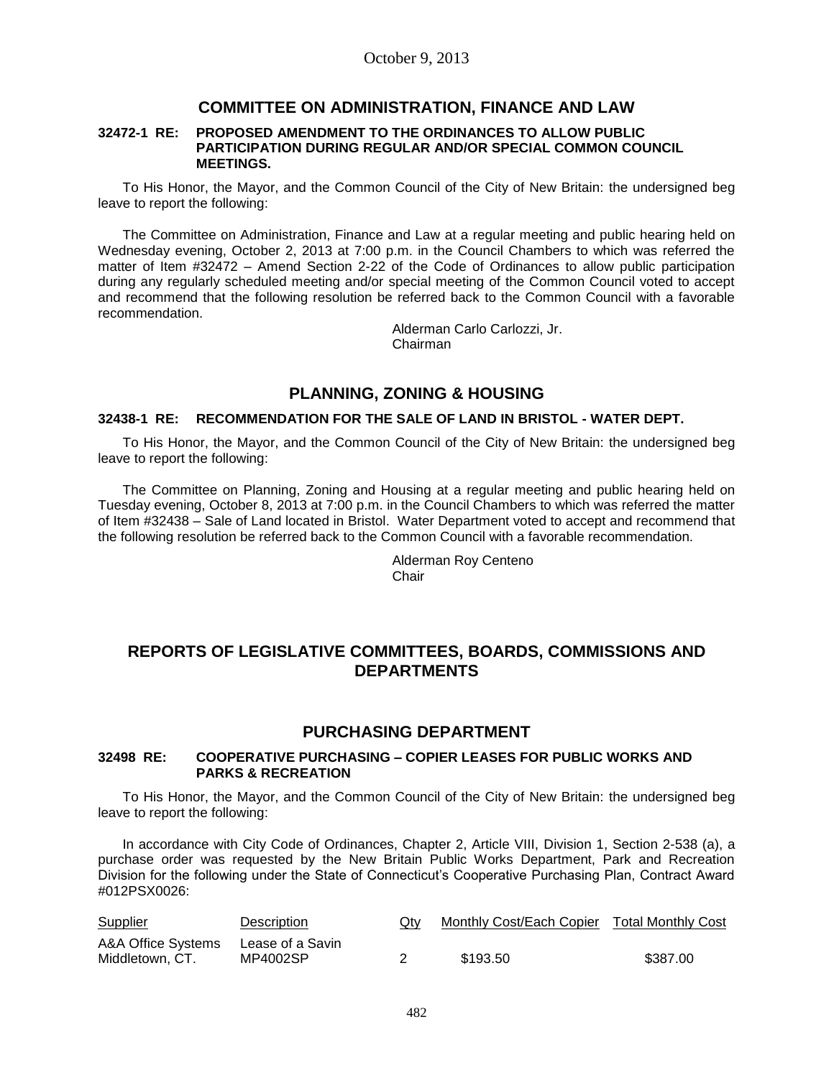### **COMMITTEE ON ADMINISTRATION, FINANCE AND LAW**

#### **32472-1 RE: PROPOSED AMENDMENT TO THE ORDINANCES TO ALLOW PUBLIC PARTICIPATION DURING REGULAR AND/OR SPECIAL COMMON COUNCIL MEETINGS.**

To His Honor, the Mayor, and the Common Council of the City of New Britain: the undersigned beg leave to report the following:

The Committee on Administration, Finance and Law at a regular meeting and public hearing held on Wednesday evening, October 2, 2013 at 7:00 p.m. in the Council Chambers to which was referred the matter of Item #32472 – Amend Section 2-22 of the Code of Ordinances to allow public participation during any regularly scheduled meeting and/or special meeting of the Common Council voted to accept and recommend that the following resolution be referred back to the Common Council with a favorable recommendation.

Alderman Carlo Carlozzi, Jr. Chairman

## **PLANNING, ZONING & HOUSING**

### **32438-1 RE: RECOMMENDATION FOR THE SALE OF LAND IN BRISTOL - WATER DEPT.**

To His Honor, the Mayor, and the Common Council of the City of New Britain: the undersigned beg leave to report the following:

The Committee on Planning, Zoning and Housing at a regular meeting and public hearing held on Tuesday evening, October 8, 2013 at 7:00 p.m. in the Council Chambers to which was referred the matter of Item #32438 – Sale of Land located in Bristol. Water Department voted to accept and recommend that the following resolution be referred back to the Common Council with a favorable recommendation.

> Alderman Roy Centeno Chair

# **REPORTS OF LEGISLATIVE COMMITTEES, BOARDS, COMMISSIONS AND DEPARTMENTS**

### **PURCHASING DEPARTMENT**

### **32498 RE: COOPERATIVE PURCHASING – COPIER LEASES FOR PUBLIC WORKS AND PARKS & RECREATION**

To His Honor, the Mayor, and the Common Council of the City of New Britain: the undersigned beg leave to report the following:

In accordance with City Code of Ordinances, Chapter 2, Article VIII, Division 1, Section 2-538 (a), a purchase order was requested by the New Britain Public Works Department, Park and Recreation Division for the following under the State of Connecticut's Cooperative Purchasing Plan, Contract Award #012PSX0026:

| <b>Supplier</b>    | Description      | Qty | Monthly Cost/Each Copier Total Monthly Cost |          |
|--------------------|------------------|-----|---------------------------------------------|----------|
| A&A Office Systems | Lease of a Savin |     |                                             |          |
| Middletown, CT.    | MP4002SP         |     | \$193.50                                    | \$387.00 |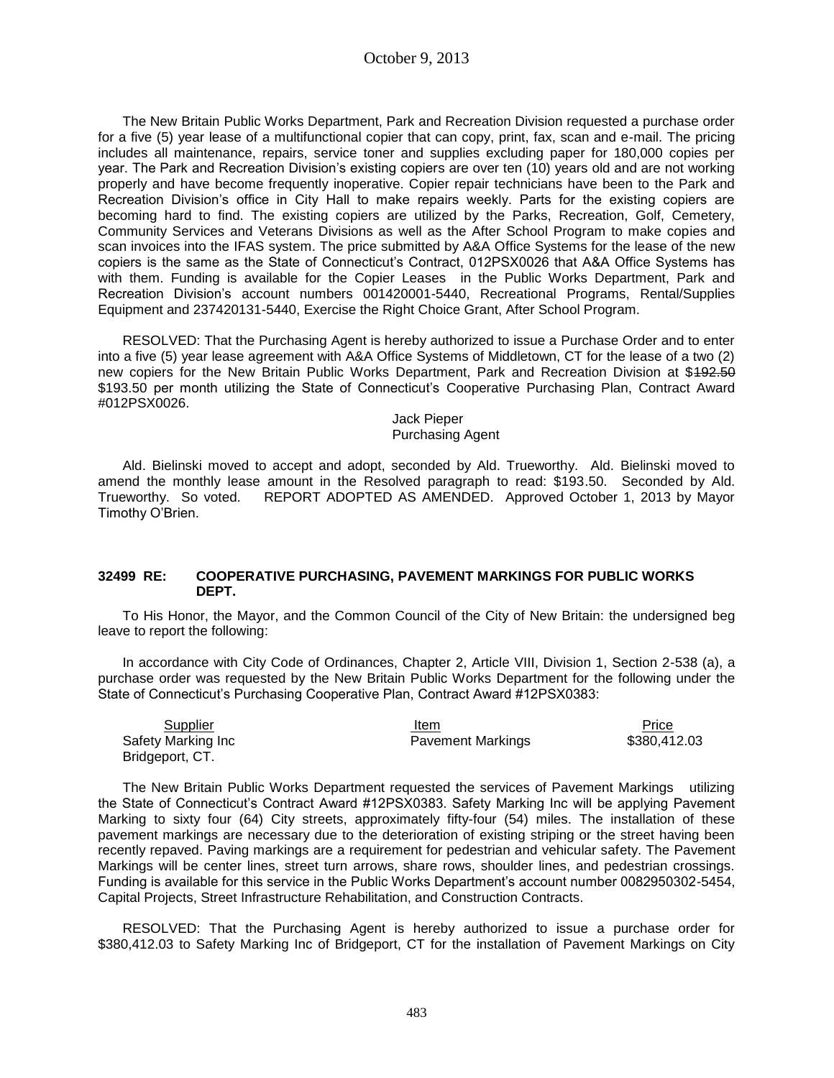The New Britain Public Works Department, Park and Recreation Division requested a purchase order for a five (5) year lease of a multifunctional copier that can copy, print, fax, scan and e-mail. The pricing includes all maintenance, repairs, service toner and supplies excluding paper for 180,000 copies per year. The Park and Recreation Division's existing copiers are over ten (10) years old and are not working properly and have become frequently inoperative. Copier repair technicians have been to the Park and Recreation Division's office in City Hall to make repairs weekly. Parts for the existing copiers are becoming hard to find. The existing copiers are utilized by the Parks, Recreation, Golf, Cemetery, Community Services and Veterans Divisions as well as the After School Program to make copies and scan invoices into the IFAS system. The price submitted by A&A Office Systems for the lease of the new copiers is the same as the State of Connecticut's Contract, 012PSX0026 that A&A Office Systems has with them. Funding is available for the Copier Leases in the Public Works Department, Park and Recreation Division's account numbers 001420001-5440, Recreational Programs, Rental/Supplies Equipment and 237420131-5440, Exercise the Right Choice Grant, After School Program.

RESOLVED: That the Purchasing Agent is hereby authorized to issue a Purchase Order and to enter into a five (5) year lease agreement with A&A Office Systems of Middletown, CT for the lease of a two (2) new copiers for the New Britain Public Works Department, Park and Recreation Division at \$492.50 \$193.50 per month utilizing the State of Connecticut's Cooperative Purchasing Plan, Contract Award #012PSX0026.

> Jack Pieper Purchasing Agent

Ald. Bielinski moved to accept and adopt, seconded by Ald. Trueworthy. Ald. Bielinski moved to amend the monthly lease amount in the Resolved paragraph to read: \$193.50. Seconded by Ald. Trueworthy. So voted. REPORT ADOPTED AS AMENDED. Approved October 1, 2013 by Mayor Timothy O'Brien.

### **32499 RE: COOPERATIVE PURCHASING, PAVEMENT MARKINGS FOR PUBLIC WORKS DEPT.**

To His Honor, the Mayor, and the Common Council of the City of New Britain: the undersigned beg leave to report the following:

In accordance with City Code of Ordinances, Chapter 2, Article VIII, Division 1, Section 2-538 (a), a purchase order was requested by the New Britain Public Works Department for the following under the State of Connecticut's Purchasing Cooperative Plan, Contract Award #12PSX0383:

| Supplier           | Item                     | Price        |
|--------------------|--------------------------|--------------|
| Safety Marking Inc | <b>Pavement Markings</b> | \$380,412.03 |
| Bridgeport, CT.    |                          |              |

The New Britain Public Works Department requested the services of Pavement Markings utilizing the State of Connecticut's Contract Award #12PSX0383. Safety Marking Inc will be applying Pavement Marking to sixty four (64) City streets, approximately fifty-four (54) miles. The installation of these pavement markings are necessary due to the deterioration of existing striping or the street having been recently repaved. Paving markings are a requirement for pedestrian and vehicular safety. The Pavement Markings will be center lines, street turn arrows, share rows, shoulder lines, and pedestrian crossings. Funding is available for this service in the Public Works Department's account number 0082950302-5454, Capital Projects, Street Infrastructure Rehabilitation, and Construction Contracts.

RESOLVED: That the Purchasing Agent is hereby authorized to issue a purchase order for \$380,412.03 to Safety Marking Inc of Bridgeport, CT for the installation of Pavement Markings on City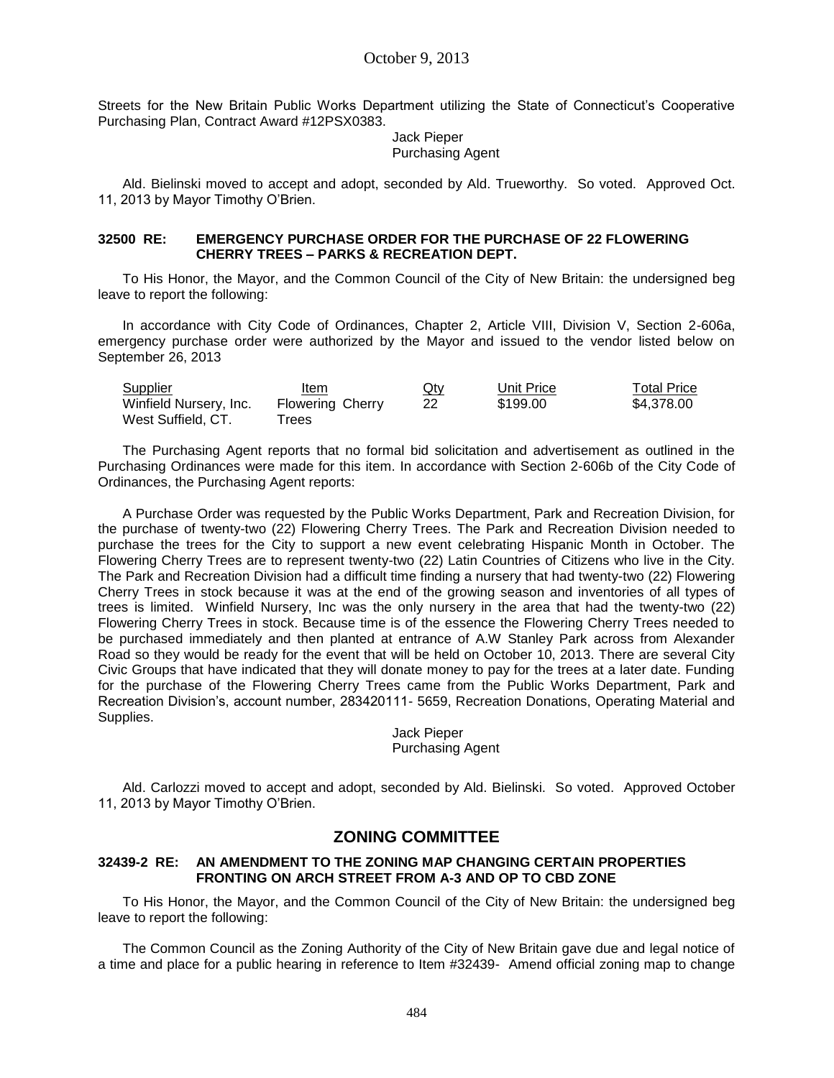Streets for the New Britain Public Works Department utilizing the State of Connecticut's Cooperative Purchasing Plan, Contract Award #12PSX0383.

#### Jack Pieper Purchasing Agent

Ald. Bielinski moved to accept and adopt, seconded by Ald. Trueworthy. So voted. Approved Oct. 11, 2013 by Mayor Timothy O'Brien.

### **32500 RE: EMERGENCY PURCHASE ORDER FOR THE PURCHASE OF 22 FLOWERING CHERRY TREES – PARKS & RECREATION DEPT.**

To His Honor, the Mayor, and the Common Council of the City of New Britain: the undersigned beg leave to report the following:

In accordance with City Code of Ordinances, Chapter 2, Article VIII, Division V, Section 2-606a, emergency purchase order were authorized by the Mayor and issued to the vendor listed below on September 26, 2013

| <b>Supplier</b>        | Item                    | $Q$ ty | Unit Price | <b>Total Price</b> |
|------------------------|-------------------------|--------|------------|--------------------|
| Winfield Nursery, Inc. | <b>Flowering Cherry</b> | 22     | \$199.00   | \$4.378.00         |
| West Suffield, CT.     | rees                    |        |            |                    |

The Purchasing Agent reports that no formal bid solicitation and advertisement as outlined in the Purchasing Ordinances were made for this item. In accordance with Section 2-606b of the City Code of Ordinances, the Purchasing Agent reports:

A Purchase Order was requested by the Public Works Department, Park and Recreation Division, for the purchase of twenty-two (22) Flowering Cherry Trees. The Park and Recreation Division needed to purchase the trees for the City to support a new event celebrating Hispanic Month in October. The Flowering Cherry Trees are to represent twenty-two (22) Latin Countries of Citizens who live in the City. The Park and Recreation Division had a difficult time finding a nursery that had twenty-two (22) Flowering Cherry Trees in stock because it was at the end of the growing season and inventories of all types of trees is limited. Winfield Nursery, Inc was the only nursery in the area that had the twenty-two (22) Flowering Cherry Trees in stock. Because time is of the essence the Flowering Cherry Trees needed to be purchased immediately and then planted at entrance of A.W Stanley Park across from Alexander Road so they would be ready for the event that will be held on October 10, 2013. There are several City Civic Groups that have indicated that they will donate money to pay for the trees at a later date. Funding for the purchase of the Flowering Cherry Trees came from the Public Works Department, Park and Recreation Division's, account number, 283420111- 5659, Recreation Donations, Operating Material and Supplies.

Jack Pieper Purchasing Agent

Ald. Carlozzi moved to accept and adopt, seconded by Ald. Bielinski. So voted. Approved October 11, 2013 by Mayor Timothy O'Brien.

## **ZONING COMMITTEE**

### **32439-2 RE: AN AMENDMENT TO THE ZONING MAP CHANGING CERTAIN PROPERTIES FRONTING ON ARCH STREET FROM A-3 AND OP TO CBD ZONE**

To His Honor, the Mayor, and the Common Council of the City of New Britain: the undersigned beg leave to report the following:

The Common Council as the Zoning Authority of the City of New Britain gave due and legal notice of a time and place for a public hearing in reference to Item #32439- Amend official zoning map to change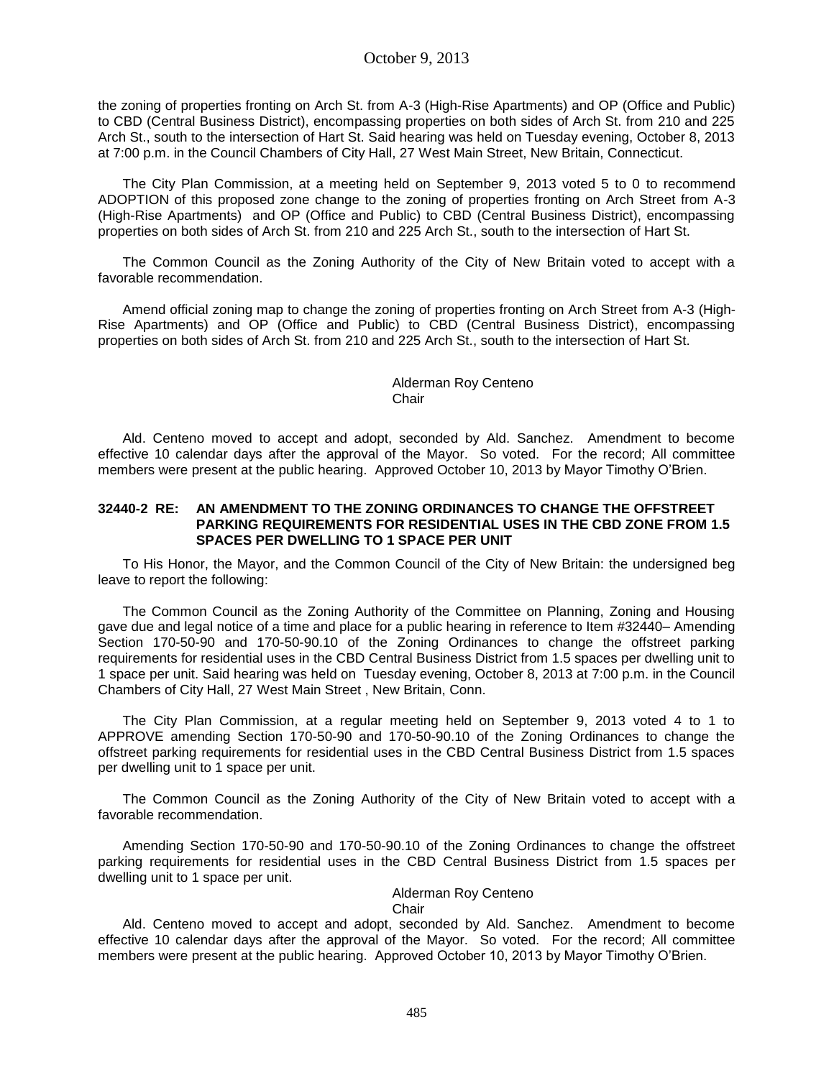the zoning of properties fronting on Arch St. from A-3 (High-Rise Apartments) and OP (Office and Public) to CBD (Central Business District), encompassing properties on both sides of Arch St. from 210 and 225 Arch St., south to the intersection of Hart St. Said hearing was held on Tuesday evening, October 8, 2013 at 7:00 p.m. in the Council Chambers of City Hall, 27 West Main Street, New Britain, Connecticut.

The City Plan Commission, at a meeting held on September 9, 2013 voted 5 to 0 to recommend ADOPTION of this proposed zone change to the zoning of properties fronting on Arch Street from A-3 (High-Rise Apartments) and OP (Office and Public) to CBD (Central Business District), encompassing properties on both sides of Arch St. from 210 and 225 Arch St., south to the intersection of Hart St.

The Common Council as the Zoning Authority of the City of New Britain voted to accept with a favorable recommendation.

Amend official zoning map to change the zoning of properties fronting on Arch Street from A-3 (High-Rise Apartments) and OP (Office and Public) to CBD (Central Business District), encompassing properties on both sides of Arch St. from 210 and 225 Arch St., south to the intersection of Hart St.

### Alderman Roy Centeno **Chair**

Ald. Centeno moved to accept and adopt, seconded by Ald. Sanchez. Amendment to become effective 10 calendar days after the approval of the Mayor. So voted. For the record; All committee members were present at the public hearing. Approved October 10, 2013 by Mayor Timothy O'Brien.

### **32440-2 RE: AN AMENDMENT TO THE ZONING ORDINANCES TO CHANGE THE OFFSTREET PARKING REQUIREMENTS FOR RESIDENTIAL USES IN THE CBD ZONE FROM 1.5 SPACES PER DWELLING TO 1 SPACE PER UNIT**

To His Honor, the Mayor, and the Common Council of the City of New Britain: the undersigned beg leave to report the following:

The Common Council as the Zoning Authority of the Committee on Planning, Zoning and Housing gave due and legal notice of a time and place for a public hearing in reference to Item #32440– Amending Section 170-50-90 and 170-50-90.10 of the Zoning Ordinances to change the offstreet parking requirements for residential uses in the CBD Central Business District from 1.5 spaces per dwelling unit to 1 space per unit. Said hearing was held on Tuesday evening, October 8, 2013 at 7:00 p.m. in the Council Chambers of City Hall, 27 West Main Street , New Britain, Conn.

The City Plan Commission, at a regular meeting held on September 9, 2013 voted 4 to 1 to APPROVE amending Section 170-50-90 and 170-50-90.10 of the Zoning Ordinances to change the offstreet parking requirements for residential uses in the CBD Central Business District from 1.5 spaces per dwelling unit to 1 space per unit.

The Common Council as the Zoning Authority of the City of New Britain voted to accept with a favorable recommendation.

Amending Section 170-50-90 and 170-50-90.10 of the Zoning Ordinances to change the offstreet parking requirements for residential uses in the CBD Central Business District from 1.5 spaces per dwelling unit to 1 space per unit.

### Alderman Roy Centeno

#### Chair

Ald. Centeno moved to accept and adopt, seconded by Ald. Sanchez. Amendment to become effective 10 calendar days after the approval of the Mayor. So voted. For the record; All committee members were present at the public hearing. Approved October 10, 2013 by Mayor Timothy O'Brien.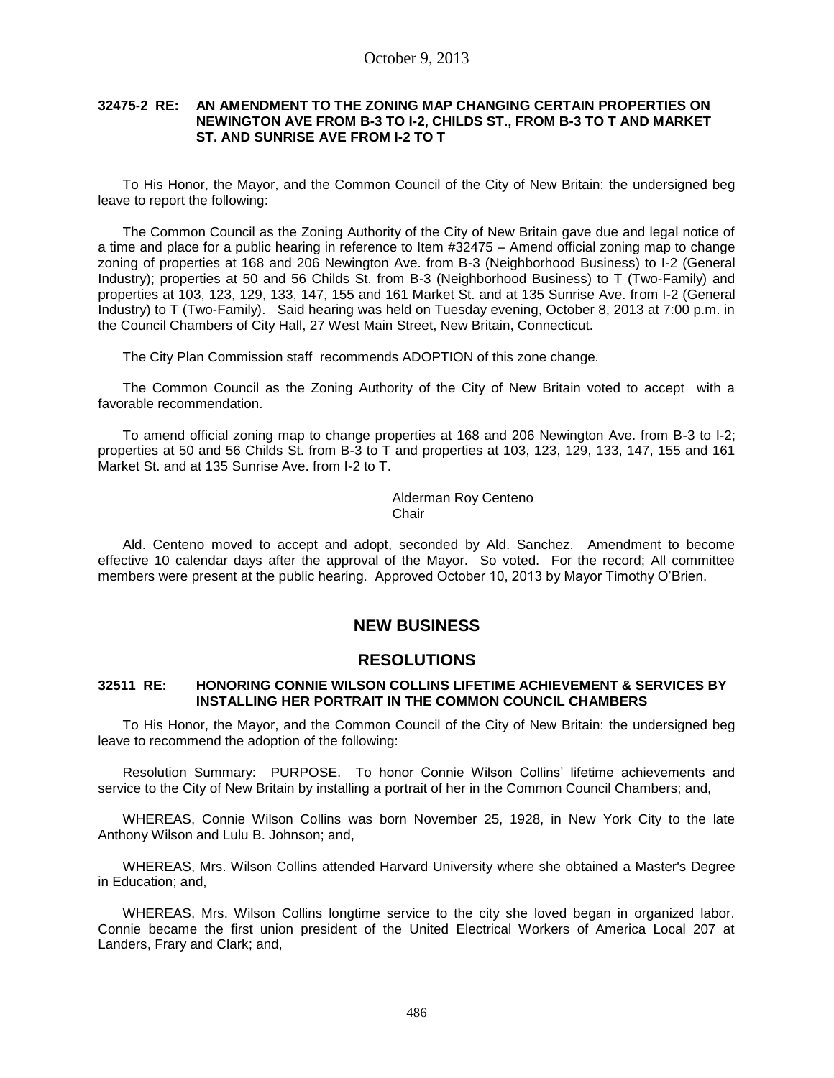### **32475-2 RE: AN AMENDMENT TO THE ZONING MAP CHANGING CERTAIN PROPERTIES ON NEWINGTON AVE FROM B-3 TO I-2, CHILDS ST., FROM B-3 TO T AND MARKET ST. AND SUNRISE AVE FROM I-2 TO T**

To His Honor, the Mayor, and the Common Council of the City of New Britain: the undersigned beg leave to report the following:

The Common Council as the Zoning Authority of the City of New Britain gave due and legal notice of a time and place for a public hearing in reference to Item #32475 – Amend official zoning map to change zoning of properties at 168 and 206 Newington Ave. from B-3 (Neighborhood Business) to I-2 (General Industry); properties at 50 and 56 Childs St. from B-3 (Neighborhood Business) to T (Two-Family) and properties at 103, 123, 129, 133, 147, 155 and 161 Market St. and at 135 Sunrise Ave. from I-2 (General Industry) to T (Two-Family). Said hearing was held on Tuesday evening, October 8, 2013 at 7:00 p.m. in the Council Chambers of City Hall, 27 West Main Street, New Britain, Connecticut.

The City Plan Commission staff recommends ADOPTION of this zone change.

The Common Council as the Zoning Authority of the City of New Britain voted to accept with a favorable recommendation.

To amend official zoning map to change properties at 168 and 206 Newington Ave. from B-3 to I-2; properties at 50 and 56 Childs St. from B-3 to T and properties at 103, 123, 129, 133, 147, 155 and 161 Market St. and at 135 Sunrise Ave. from I-2 to T.

> Alderman Roy Centeno **Chair**

Ald. Centeno moved to accept and adopt, seconded by Ald. Sanchez. Amendment to become effective 10 calendar days after the approval of the Mayor. So voted. For the record; All committee members were present at the public hearing. Approved October 10, 2013 by Mayor Timothy O'Brien.

## **NEW BUSINESS**

### **RESOLUTIONS**

### **32511 RE: HONORING CONNIE WILSON COLLINS LIFETIME ACHIEVEMENT & SERVICES BY INSTALLING HER PORTRAIT IN THE COMMON COUNCIL CHAMBERS**

To His Honor, the Mayor, and the Common Council of the City of New Britain: the undersigned beg leave to recommend the adoption of the following:

Resolution Summary: PURPOSE. To honor Connie Wilson Collins' lifetime achievements and service to the City of New Britain by installing a portrait of her in the Common Council Chambers; and,

WHEREAS, Connie Wilson Collins was born November 25, 1928, in New York City to the late Anthony Wilson and Lulu B. Johnson; and,

WHEREAS, Mrs. Wilson Collins attended Harvard University where she obtained a Master's Degree in Education; and,

WHEREAS, Mrs. Wilson Collins longtime service to the city she loved began in organized labor. Connie became the first union president of the United Electrical Workers of America Local 207 at Landers, Frary and Clark; and,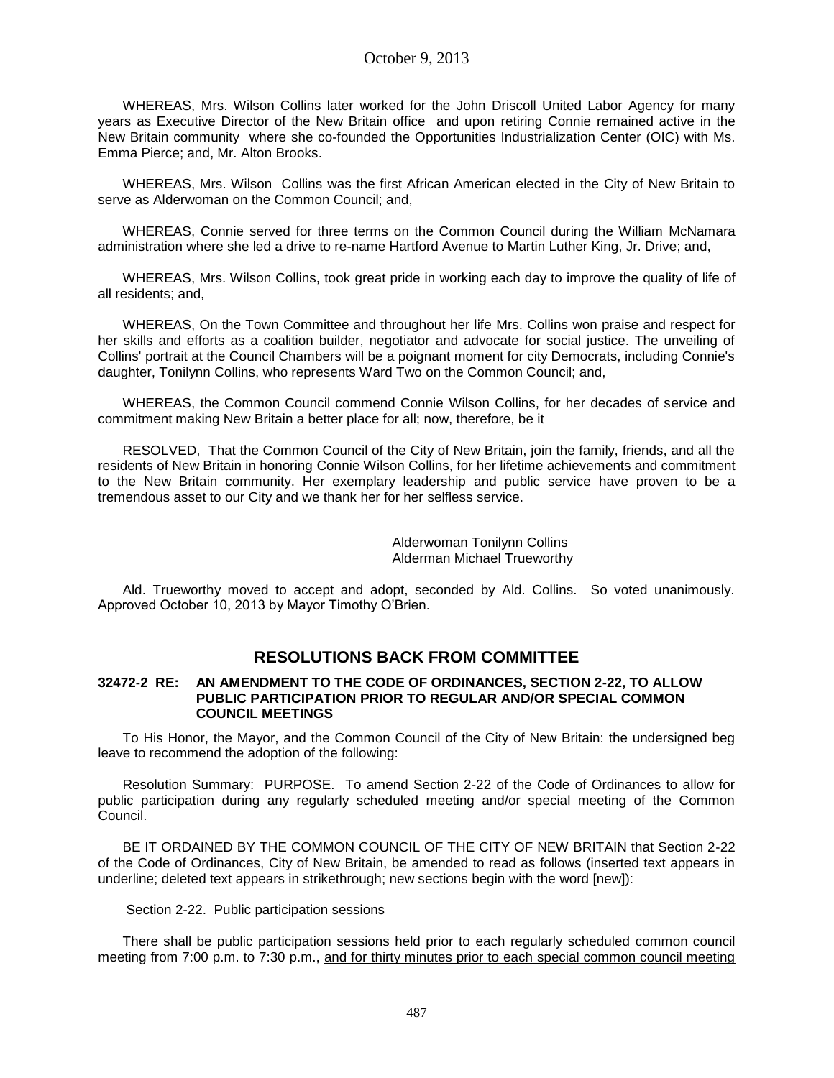WHEREAS, Mrs. Wilson Collins later worked for the John Driscoll United Labor Agency for many years as Executive Director of the New Britain office and upon retiring Connie remained active in the New Britain community where she co-founded the Opportunities Industrialization Center (OIC) with Ms. Emma Pierce; and, Mr. Alton Brooks.

WHEREAS, Mrs. Wilson Collins was the first African American elected in the City of New Britain to serve as Alderwoman on the Common Council; and,

WHEREAS, Connie served for three terms on the Common Council during the William McNamara administration where she led a drive to re-name Hartford Avenue to Martin Luther King, Jr. Drive; and,

WHEREAS, Mrs. Wilson Collins, took great pride in working each day to improve the quality of life of all residents; and,

WHEREAS, On the Town Committee and throughout her life Mrs. Collins won praise and respect for her skills and efforts as a coalition builder, negotiator and advocate for social justice. The unveiling of Collins' portrait at the Council Chambers will be a poignant moment for city Democrats, including Connie's daughter, Tonilynn Collins, who represents Ward Two on the Common Council; and,

WHEREAS, the Common Council commend Connie Wilson Collins, for her decades of service and commitment making New Britain a better place for all; now, therefore, be it

RESOLVED, That the Common Council of the City of New Britain, join the family, friends, and all the residents of New Britain in honoring Connie Wilson Collins, for her lifetime achievements and commitment to the New Britain community. Her exemplary leadership and public service have proven to be a tremendous asset to our City and we thank her for her selfless service.

> Alderwoman Tonilynn Collins Alderman Michael Trueworthy

Ald. Trueworthy moved to accept and adopt, seconded by Ald. Collins. So voted unanimously. Approved October 10, 2013 by Mayor Timothy O'Brien.

# **RESOLUTIONS BACK FROM COMMITTEE**

### **32472-2 RE: AN AMENDMENT TO THE CODE OF ORDINANCES, SECTION 2-22, TO ALLOW PUBLIC PARTICIPATION PRIOR TO REGULAR AND/OR SPECIAL COMMON COUNCIL MEETINGS**

To His Honor, the Mayor, and the Common Council of the City of New Britain: the undersigned beg leave to recommend the adoption of the following:

Resolution Summary: PURPOSE. To amend Section 2-22 of the Code of Ordinances to allow for public participation during any regularly scheduled meeting and/or special meeting of the Common Council.

BE IT ORDAINED BY THE COMMON COUNCIL OF THE CITY OF NEW BRITAIN that Section 2-22 of the Code of Ordinances, City of New Britain, be amended to read as follows (inserted text appears in underline; deleted text appears in strikethrough; new sections begin with the word [new]):

#### Section 2-22. Public participation sessions

There shall be public participation sessions held prior to each regularly scheduled common council meeting from 7:00 p.m. to 7:30 p.m., and for thirty minutes prior to each special common council meeting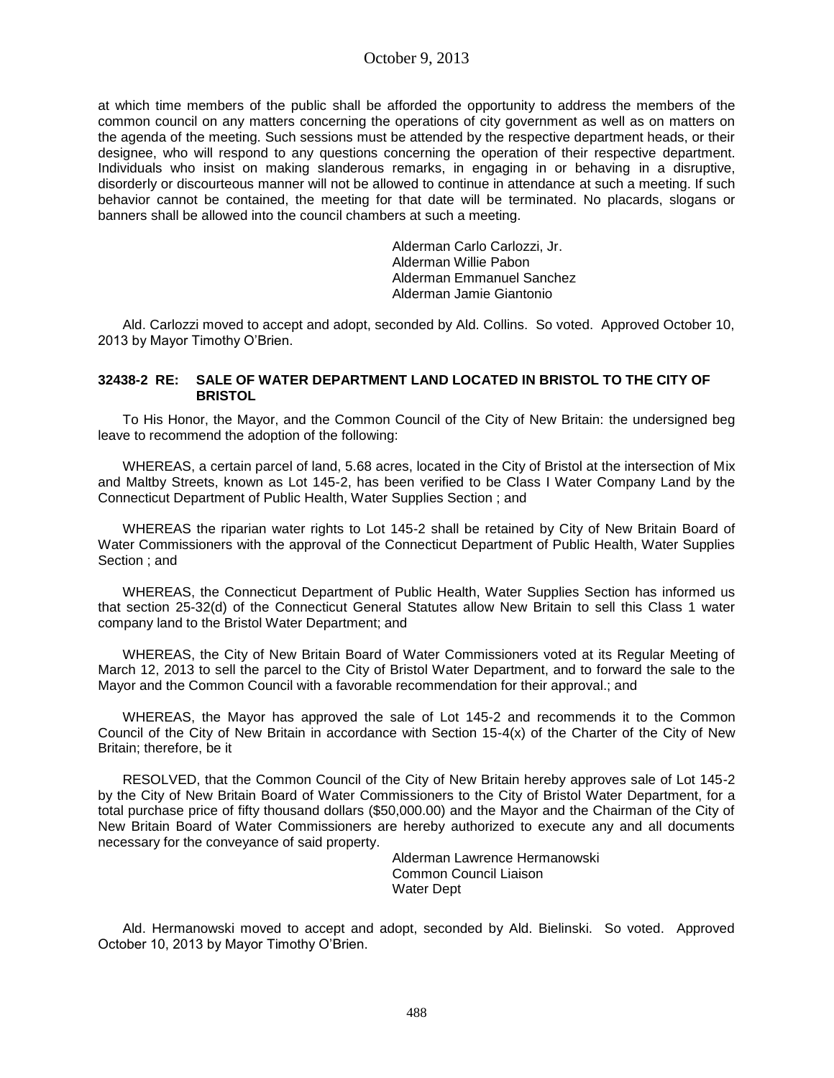at which time members of the public shall be afforded the opportunity to address the members of the common council on any matters concerning the operations of city government as well as on matters on the agenda of the meeting. Such sessions must be attended by the respective department heads, or their designee, who will respond to any questions concerning the operation of their respective department. Individuals who insist on making slanderous remarks, in engaging in or behaving in a disruptive, disorderly or discourteous manner will not be allowed to continue in attendance at such a meeting. If such behavior cannot be contained, the meeting for that date will be terminated. No placards, slogans or banners shall be allowed into the council chambers at such a meeting.

> Alderman Carlo Carlozzi, Jr. Alderman Willie Pabon Alderman Emmanuel Sanchez Alderman Jamie Giantonio

Ald. Carlozzi moved to accept and adopt, seconded by Ald. Collins. So voted. Approved October 10, 2013 by Mayor Timothy O'Brien.

### **32438-2 RE: SALE OF WATER DEPARTMENT LAND LOCATED IN BRISTOL TO THE CITY OF BRISTOL**

To His Honor, the Mayor, and the Common Council of the City of New Britain: the undersigned beg leave to recommend the adoption of the following:

WHEREAS, a certain parcel of land, 5.68 acres, located in the City of Bristol at the intersection of Mix and Maltby Streets, known as Lot 145-2, has been verified to be Class I Water Company Land by the Connecticut Department of Public Health, Water Supplies Section ; and

WHEREAS the riparian water rights to Lot 145-2 shall be retained by City of New Britain Board of Water Commissioners with the approval of the Connecticut Department of Public Health, Water Supplies Section ; and

WHEREAS, the Connecticut Department of Public Health, Water Supplies Section has informed us that section 25-32(d) of the Connecticut General Statutes allow New Britain to sell this Class 1 water company land to the Bristol Water Department; and

WHEREAS, the City of New Britain Board of Water Commissioners voted at its Regular Meeting of March 12, 2013 to sell the parcel to the City of Bristol Water Department, and to forward the sale to the Mayor and the Common Council with a favorable recommendation for their approval.; and

WHEREAS, the Mayor has approved the sale of Lot 145-2 and recommends it to the Common Council of the City of New Britain in accordance with Section 15-4(x) of the Charter of the City of New Britain; therefore, be it

RESOLVED, that the Common Council of the City of New Britain hereby approves sale of Lot 145-2 by the City of New Britain Board of Water Commissioners to the City of Bristol Water Department, for a total purchase price of fifty thousand dollars (\$50,000.00) and the Mayor and the Chairman of the City of New Britain Board of Water Commissioners are hereby authorized to execute any and all documents necessary for the conveyance of said property.

> Alderman Lawrence Hermanowski Common Council Liaison Water Dept

Ald. Hermanowski moved to accept and adopt, seconded by Ald. Bielinski. So voted. Approved October 10, 2013 by Mayor Timothy O'Brien.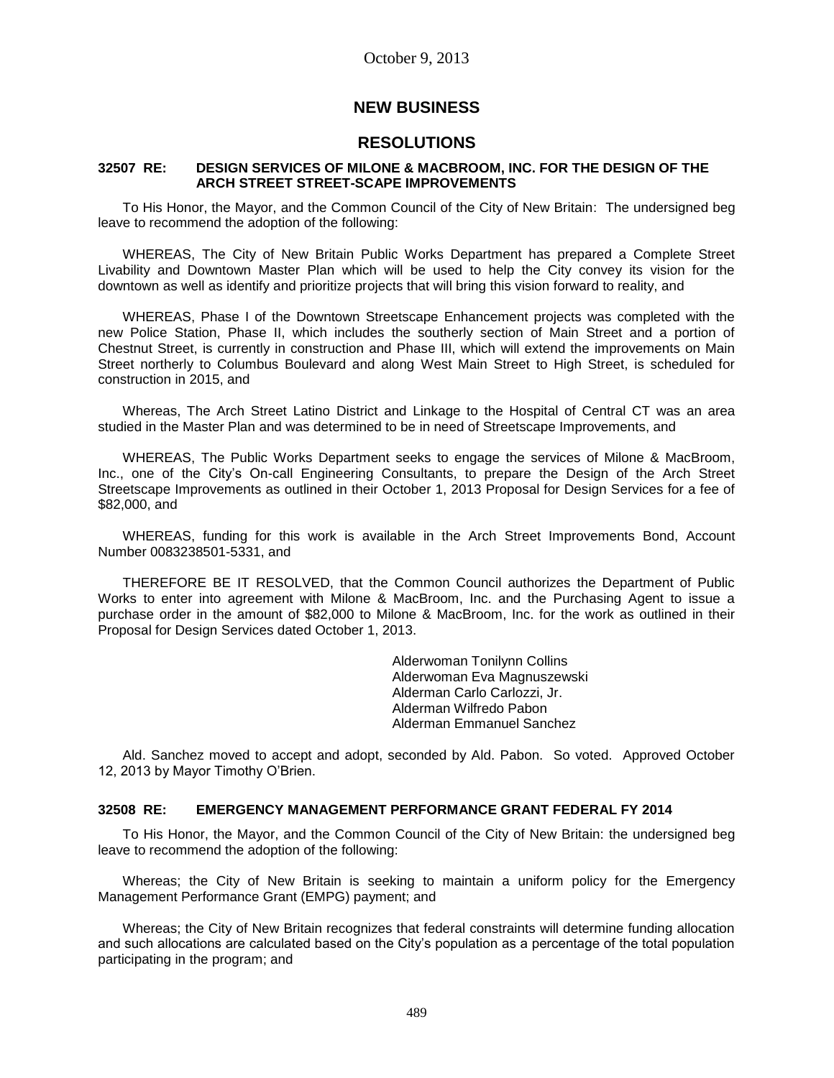## **NEW BUSINESS**

## **RESOLUTIONS**

### **32507 RE: DESIGN SERVICES OF MILONE & MACBROOM, INC. FOR THE DESIGN OF THE ARCH STREET STREET-SCAPE IMPROVEMENTS**

To His Honor, the Mayor, and the Common Council of the City of New Britain: The undersigned beg leave to recommend the adoption of the following:

WHEREAS, The City of New Britain Public Works Department has prepared a Complete Street Livability and Downtown Master Plan which will be used to help the City convey its vision for the downtown as well as identify and prioritize projects that will bring this vision forward to reality, and

WHEREAS, Phase I of the Downtown Streetscape Enhancement projects was completed with the new Police Station, Phase II, which includes the southerly section of Main Street and a portion of Chestnut Street, is currently in construction and Phase III, which will extend the improvements on Main Street northerly to Columbus Boulevard and along West Main Street to High Street, is scheduled for construction in 2015, and

Whereas, The Arch Street Latino District and Linkage to the Hospital of Central CT was an area studied in the Master Plan and was determined to be in need of Streetscape Improvements, and

WHEREAS, The Public Works Department seeks to engage the services of Milone & MacBroom, Inc., one of the City's On-call Engineering Consultants, to prepare the Design of the Arch Street Streetscape Improvements as outlined in their October 1, 2013 Proposal for Design Services for a fee of \$82,000, and

WHEREAS, funding for this work is available in the Arch Street Improvements Bond, Account Number 0083238501-5331, and

THEREFORE BE IT RESOLVED, that the Common Council authorizes the Department of Public Works to enter into agreement with Milone & MacBroom, Inc. and the Purchasing Agent to issue a purchase order in the amount of \$82,000 to Milone & MacBroom, Inc. for the work as outlined in their Proposal for Design Services dated October 1, 2013.

> Alderwoman Tonilynn Collins Alderwoman Eva Magnuszewski Alderman Carlo Carlozzi, Jr. Alderman Wilfredo Pabon Alderman Emmanuel Sanchez

Ald. Sanchez moved to accept and adopt, seconded by Ald. Pabon. So voted. Approved October 12, 2013 by Mayor Timothy O'Brien.

### **32508 RE: EMERGENCY MANAGEMENT PERFORMANCE GRANT FEDERAL FY 2014**

To His Honor, the Mayor, and the Common Council of the City of New Britain: the undersigned beg leave to recommend the adoption of the following:

Whereas; the City of New Britain is seeking to maintain a uniform policy for the Emergency Management Performance Grant (EMPG) payment; and

Whereas; the City of New Britain recognizes that federal constraints will determine funding allocation and such allocations are calculated based on the City's population as a percentage of the total population participating in the program; and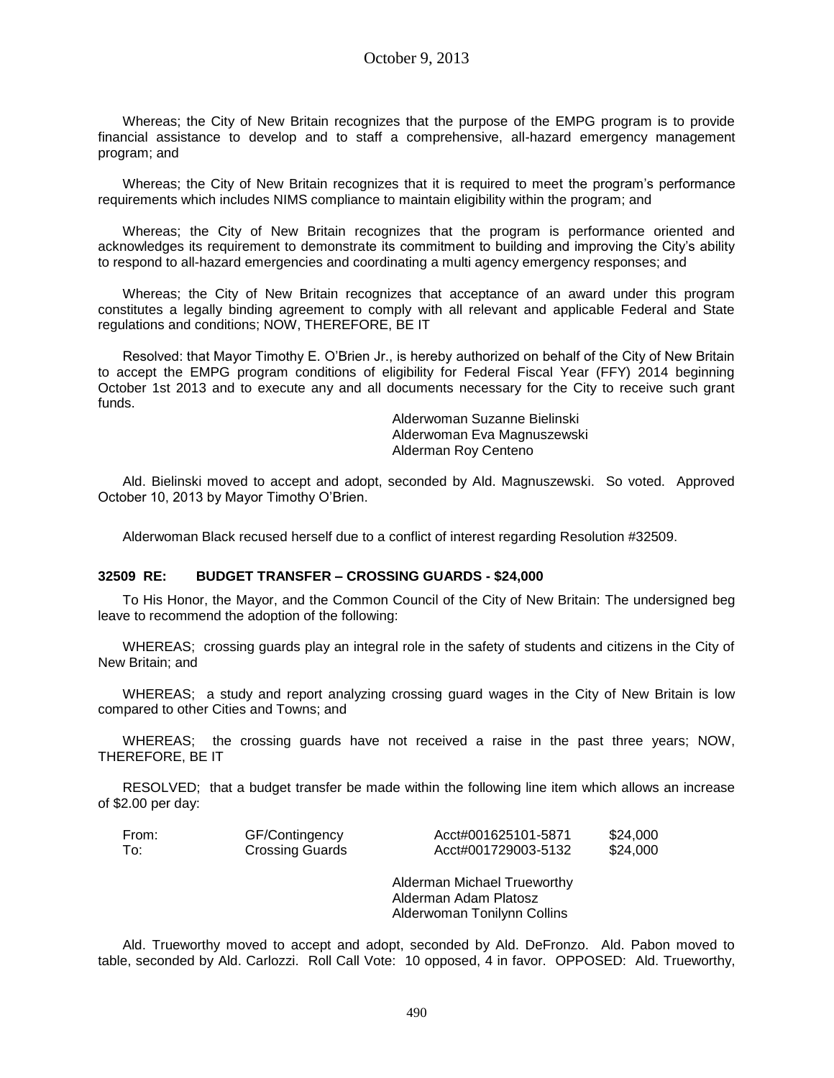Whereas; the City of New Britain recognizes that the purpose of the EMPG program is to provide financial assistance to develop and to staff a comprehensive, all-hazard emergency management program; and

Whereas; the City of New Britain recognizes that it is required to meet the program's performance requirements which includes NIMS compliance to maintain eligibility within the program; and

Whereas; the City of New Britain recognizes that the program is performance oriented and acknowledges its requirement to demonstrate its commitment to building and improving the City's ability to respond to all-hazard emergencies and coordinating a multi agency emergency responses; and

Whereas; the City of New Britain recognizes that acceptance of an award under this program constitutes a legally binding agreement to comply with all relevant and applicable Federal and State regulations and conditions; NOW, THEREFORE, BE IT

Resolved: that Mayor Timothy E. O'Brien Jr., is hereby authorized on behalf of the City of New Britain to accept the EMPG program conditions of eligibility for Federal Fiscal Year (FFY) 2014 beginning October 1st 2013 and to execute any and all documents necessary for the City to receive such grant funds.

> Alderwoman Suzanne Bielinski Alderwoman Eva Magnuszewski Alderman Roy Centeno

Ald. Bielinski moved to accept and adopt, seconded by Ald. Magnuszewski. So voted. Approved October 10, 2013 by Mayor Timothy O'Brien.

Alderwoman Black recused herself due to a conflict of interest regarding Resolution #32509.

### **32509 RE: BUDGET TRANSFER – CROSSING GUARDS - \$24,000**

To His Honor, the Mayor, and the Common Council of the City of New Britain: The undersigned beg leave to recommend the adoption of the following:

WHEREAS; crossing guards play an integral role in the safety of students and citizens in the City of New Britain; and

WHEREAS; a study and report analyzing crossing guard wages in the City of New Britain is low compared to other Cities and Towns; and

WHEREAS; the crossing guards have not received a raise in the past three years; NOW, THEREFORE, BE IT

RESOLVED; that a budget transfer be made within the following line item which allows an increase of \$2.00 per day:

| From: | GF/Contingency         | Acct#001625101-5871 | \$24,000 |
|-------|------------------------|---------------------|----------|
| To:   | <b>Crossing Guards</b> | Acct#001729003-5132 | \$24,000 |

Alderman Michael Trueworthy Alderman Adam Platosz Alderwoman Tonilynn Collins

Ald. Trueworthy moved to accept and adopt, seconded by Ald. DeFronzo. Ald. Pabon moved to table, seconded by Ald. Carlozzi. Roll Call Vote: 10 opposed, 4 in favor. OPPOSED: Ald. Trueworthy,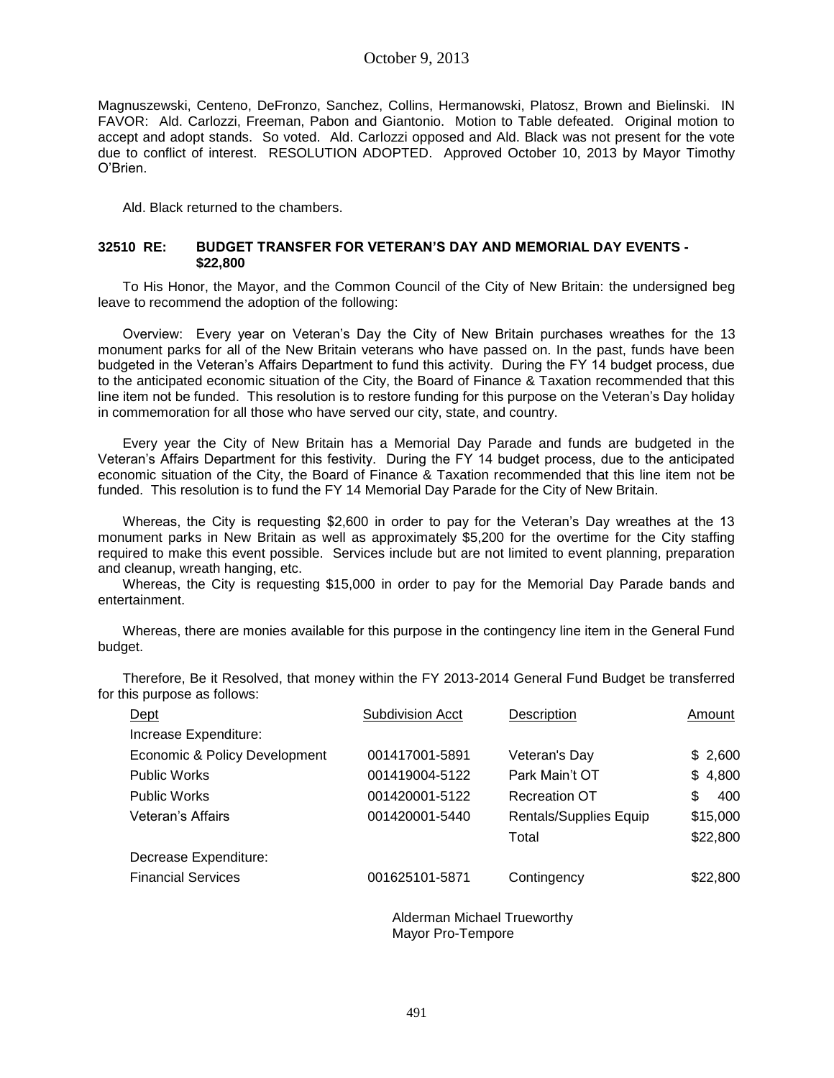### October 9, 2013

Magnuszewski, Centeno, DeFronzo, Sanchez, Collins, Hermanowski, Platosz, Brown and Bielinski. IN FAVOR: Ald. Carlozzi, Freeman, Pabon and Giantonio. Motion to Table defeated. Original motion to accept and adopt stands. So voted. Ald. Carlozzi opposed and Ald. Black was not present for the vote due to conflict of interest. RESOLUTION ADOPTED. Approved October 10, 2013 by Mayor Timothy O'Brien.

Ald. Black returned to the chambers.

### **32510 RE: BUDGET TRANSFER FOR VETERAN'S DAY AND MEMORIAL DAY EVENTS - \$22,800**

To His Honor, the Mayor, and the Common Council of the City of New Britain: the undersigned beg leave to recommend the adoption of the following:

Overview: Every year on Veteran's Day the City of New Britain purchases wreathes for the 13 monument parks for all of the New Britain veterans who have passed on. In the past, funds have been budgeted in the Veteran's Affairs Department to fund this activity. During the FY 14 budget process, due to the anticipated economic situation of the City, the Board of Finance & Taxation recommended that this line item not be funded. This resolution is to restore funding for this purpose on the Veteran's Day holiday in commemoration for all those who have served our city, state, and country.

Every year the City of New Britain has a Memorial Day Parade and funds are budgeted in the Veteran's Affairs Department for this festivity. During the FY 14 budget process, due to the anticipated economic situation of the City, the Board of Finance & Taxation recommended that this line item not be funded. This resolution is to fund the FY 14 Memorial Day Parade for the City of New Britain.

Whereas, the City is requesting \$2,600 in order to pay for the Veteran's Day wreathes at the 13 monument parks in New Britain as well as approximately \$5,200 for the overtime for the City staffing required to make this event possible. Services include but are not limited to event planning, preparation and cleanup, wreath hanging, etc.

Whereas, the City is requesting \$15,000 in order to pay for the Memorial Day Parade bands and entertainment.

|         |  |  |  | Whereas, there are monies available for this purpose in the contingency line item in the General Fund |  |  |
|---------|--|--|--|-------------------------------------------------------------------------------------------------------|--|--|
| budget. |  |  |  |                                                                                                       |  |  |

Therefore, Be it Resolved, that money within the FY 2013-2014 General Fund Budget be transferred for this purpose as follows:

| Dept                          | <b>Subdivision Acct</b> | Description            | Amount    |
|-------------------------------|-------------------------|------------------------|-----------|
| Increase Expenditure:         |                         |                        |           |
| Economic & Policy Development | 001417001-5891          | Veteran's Day          | \$2,600   |
| <b>Public Works</b>           | 001419004-5122          | Park Main't OT         | \$4,800   |
| <b>Public Works</b>           | 001420001-5122          | <b>Recreation OT</b>   | \$<br>400 |
| Veteran's Affairs             | 001420001-5440          | Rentals/Supplies Equip | \$15,000  |
|                               |                         | Total                  | \$22,800  |
| Decrease Expenditure:         |                         |                        |           |
| <b>Financial Services</b>     | 001625101-5871          | Contingency            | \$22,800  |
|                               |                         |                        |           |

Alderman Michael Trueworthy Mayor Pro-Tempore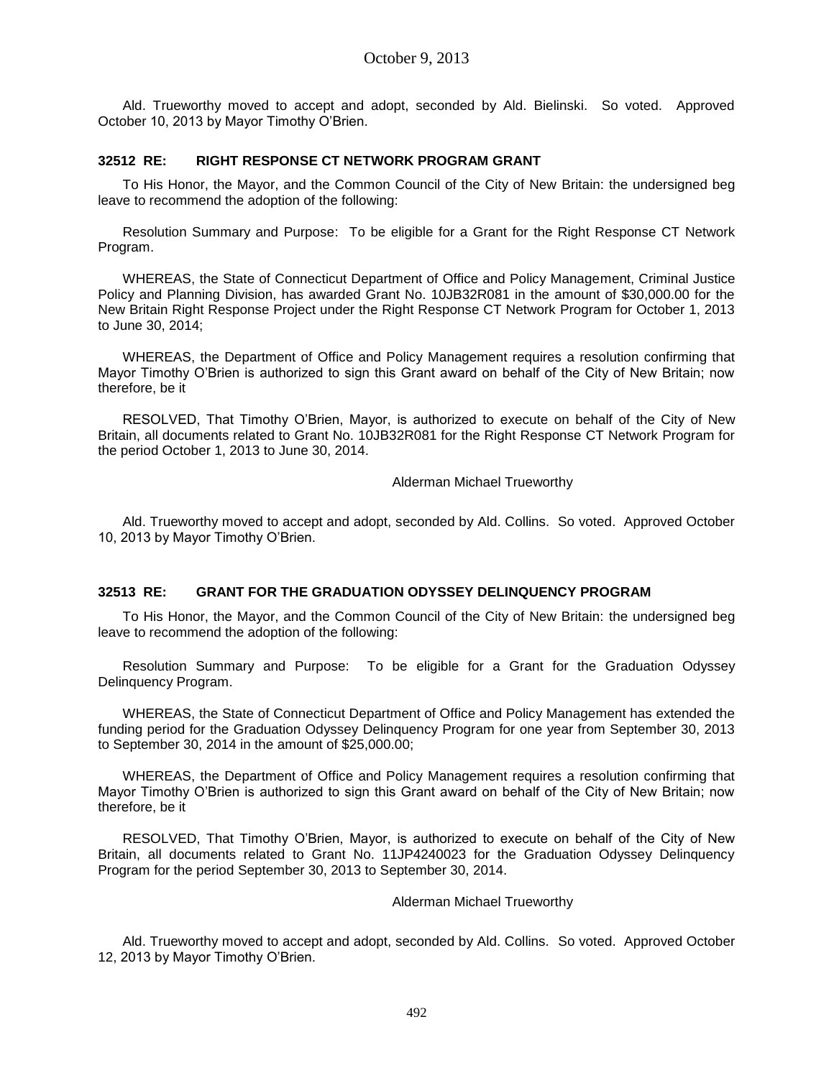Ald. Trueworthy moved to accept and adopt, seconded by Ald. Bielinski. So voted. Approved October 10, 2013 by Mayor Timothy O'Brien.

### **32512 RE: RIGHT RESPONSE CT NETWORK PROGRAM GRANT**

To His Honor, the Mayor, and the Common Council of the City of New Britain: the undersigned beg leave to recommend the adoption of the following:

Resolution Summary and Purpose: To be eligible for a Grant for the Right Response CT Network Program.

WHEREAS, the State of Connecticut Department of Office and Policy Management, Criminal Justice Policy and Planning Division, has awarded Grant No. 10JB32R081 in the amount of \$30,000.00 for the New Britain Right Response Project under the Right Response CT Network Program for October 1, 2013 to June 30, 2014;

WHEREAS, the Department of Office and Policy Management requires a resolution confirming that Mayor Timothy O'Brien is authorized to sign this Grant award on behalf of the City of New Britain; now therefore, be it

RESOLVED, That Timothy O'Brien, Mayor, is authorized to execute on behalf of the City of New Britain, all documents related to Grant No. 10JB32R081 for the Right Response CT Network Program for the period October 1, 2013 to June 30, 2014.

### Alderman Michael Trueworthy

Ald. Trueworthy moved to accept and adopt, seconded by Ald. Collins. So voted. Approved October 10, 2013 by Mayor Timothy O'Brien.

### **32513 RE: GRANT FOR THE GRADUATION ODYSSEY DELINQUENCY PROGRAM**

To His Honor, the Mayor, and the Common Council of the City of New Britain: the undersigned beg leave to recommend the adoption of the following:

Resolution Summary and Purpose: To be eligible for a Grant for the Graduation Odyssey Delinquency Program.

WHEREAS, the State of Connecticut Department of Office and Policy Management has extended the funding period for the Graduation Odyssey Delinquency Program for one year from September 30, 2013 to September 30, 2014 in the amount of \$25,000.00;

WHEREAS, the Department of Office and Policy Management requires a resolution confirming that Mayor Timothy O'Brien is authorized to sign this Grant award on behalf of the City of New Britain; now therefore, be it

RESOLVED, That Timothy O'Brien, Mayor, is authorized to execute on behalf of the City of New Britain, all documents related to Grant No. 11JP4240023 for the Graduation Odyssey Delinquency Program for the period September 30, 2013 to September 30, 2014.

### Alderman Michael Trueworthy

Ald. Trueworthy moved to accept and adopt, seconded by Ald. Collins. So voted. Approved October 12, 2013 by Mayor Timothy O'Brien.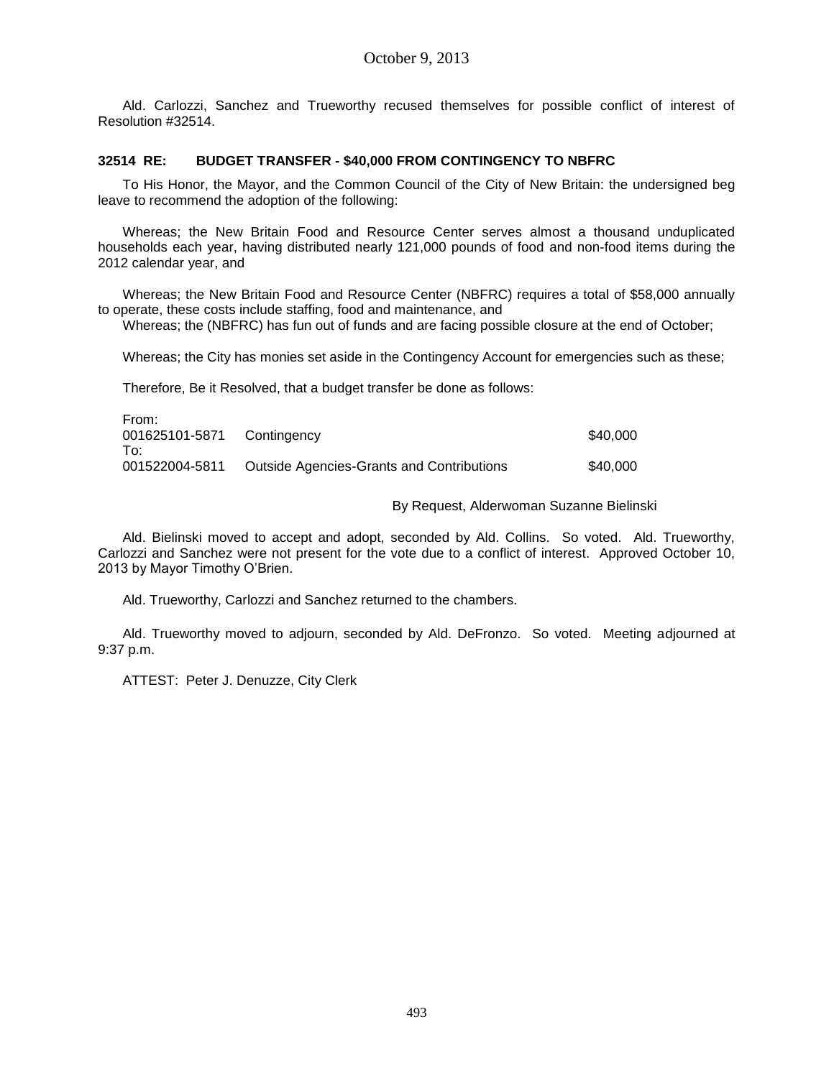Ald. Carlozzi, Sanchez and Trueworthy recused themselves for possible conflict of interest of Resolution #32514.

### **32514 RE: BUDGET TRANSFER - \$40,000 FROM CONTINGENCY TO NBFRC**

To His Honor, the Mayor, and the Common Council of the City of New Britain: the undersigned beg leave to recommend the adoption of the following:

Whereas; the New Britain Food and Resource Center serves almost a thousand unduplicated households each year, having distributed nearly 121,000 pounds of food and non-food items during the 2012 calendar year, and

Whereas; the New Britain Food and Resource Center (NBFRC) requires a total of \$58,000 annually to operate, these costs include staffing, food and maintenance, and

Whereas; the (NBFRC) has fun out of funds and are facing possible closure at the end of October;

Whereas; the City has monies set aside in the Contingency Account for emergencies such as these;

Therefore, Be it Resolved, that a budget transfer be done as follows:

| From:                      |                                           |          |
|----------------------------|-------------------------------------------|----------|
| 001625101-5871 Contingency |                                           | \$40,000 |
| To∶                        |                                           |          |
| 001522004-5811             | Outside Agencies-Grants and Contributions | \$40,000 |
|                            |                                           |          |

By Request, Alderwoman Suzanne Bielinski

Ald. Bielinski moved to accept and adopt, seconded by Ald. Collins. So voted. Ald. Trueworthy, Carlozzi and Sanchez were not present for the vote due to a conflict of interest. Approved October 10, 2013 by Mayor Timothy O'Brien.

Ald. Trueworthy, Carlozzi and Sanchez returned to the chambers.

Ald. Trueworthy moved to adjourn, seconded by Ald. DeFronzo. So voted. Meeting adjourned at 9:37 p.m.

ATTEST: Peter J. Denuzze, City Clerk